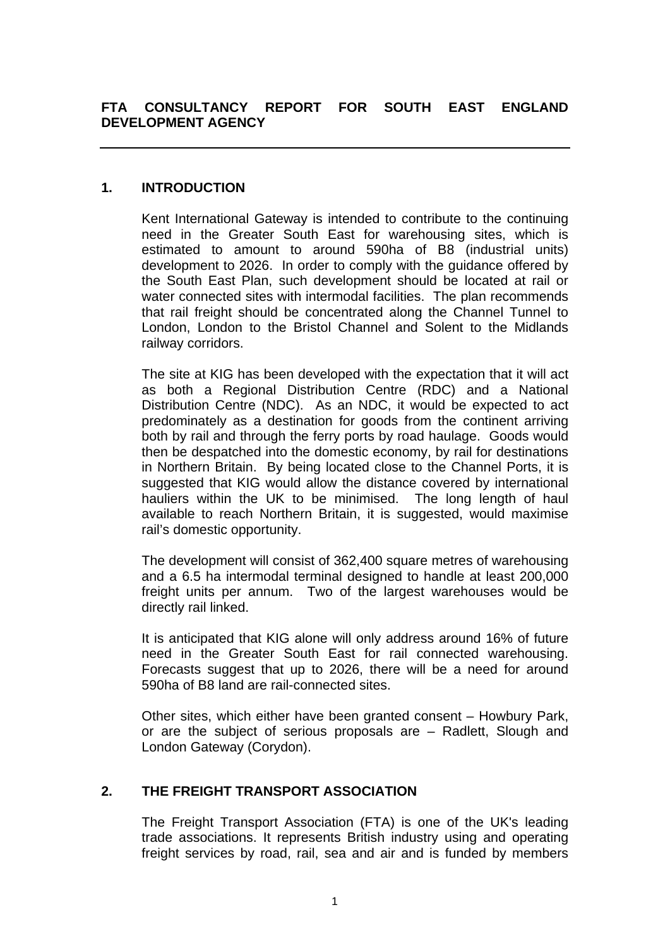## **1. INTRODUCTION**

Kent International Gateway is intended to contribute to the continuing need in the Greater South East for warehousing sites, which is estimated to amount to around 590ha of B8 (industrial units) development to 2026. In order to comply with the guidance offered by the South East Plan, such development should be located at rail or water connected sites with intermodal facilities. The plan recommends that rail freight should be concentrated along the Channel Tunnel to London, London to the Bristol Channel and Solent to the Midlands railway corridors.

The site at KIG has been developed with the expectation that it will act as both a Regional Distribution Centre (RDC) and a National Distribution Centre (NDC). As an NDC, it would be expected to act predominately as a destination for goods from the continent arriving both by rail and through the ferry ports by road haulage. Goods would then be despatched into the domestic economy, by rail for destinations in Northern Britain. By being located close to the Channel Ports, it is suggested that KIG would allow the distance covered by international hauliers within the UK to be minimised. The long length of haul available to reach Northern Britain, it is suggested, would maximise rail's domestic opportunity.

The development will consist of 362,400 square metres of warehousing and a 6.5 ha intermodal terminal designed to handle at least 200,000 freight units per annum. Two of the largest warehouses would be directly rail linked.

It is anticipated that KIG alone will only address around 16% of future need in the Greater South East for rail connected warehousing. Forecasts suggest that up to 2026, there will be a need for around 590ha of B8 land are rail-connected sites.

Other sites, which either have been granted consent – Howbury Park, or are the subject of serious proposals are – Radlett, Slough and London Gateway (Corydon).

# **2. THE FREIGHT TRANSPORT ASSOCIATION**

The Freight Transport Association (FTA) is one of the UK's leading trade associations. It represents British industry using and operating freight services by road, rail, sea and air and is funded by members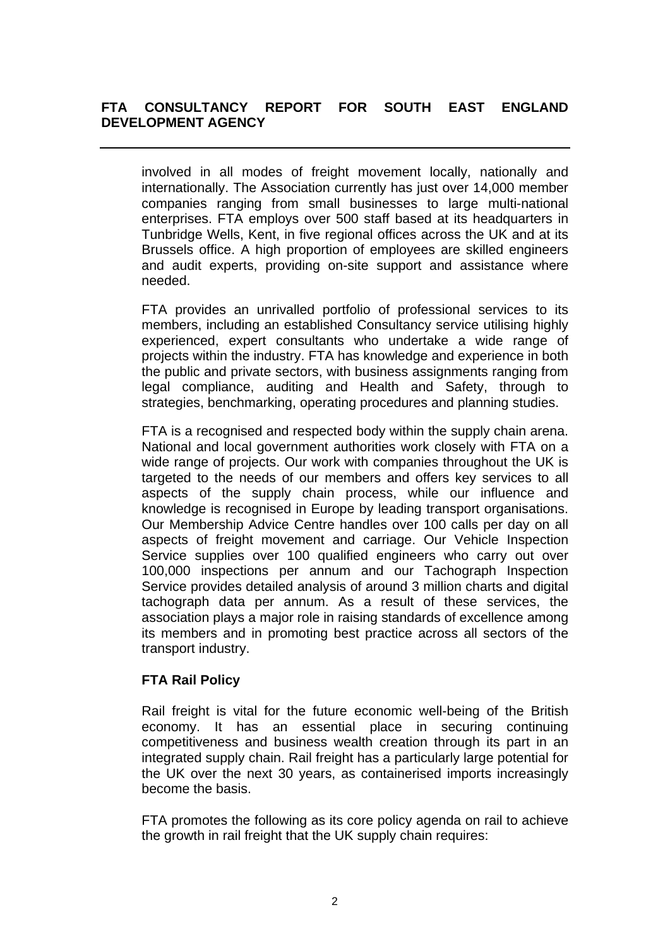involved in all modes of freight movement locally, nationally and internationally. The Association currently has just over 14,000 member companies ranging from small businesses to large multi-national enterprises. FTA employs over 500 staff based at its headquarters in Tunbridge Wells, Kent, in five regional offices across the UK and at its Brussels office. A high proportion of employees are skilled engineers and audit experts, providing on-site support and assistance where needed.

FTA provides an unrivalled portfolio of professional services to its members, including an established Consultancy service utilising highly experienced, expert consultants who undertake a wide range of projects within the industry. FTA has knowledge and experience in both the public and private sectors, with business assignments ranging from legal compliance, auditing and Health and Safety, through to strategies, benchmarking, operating procedures and planning studies.

FTA is a recognised and respected body within the supply chain arena. National and local government authorities work closely with FTA on a wide range of projects. Our work with companies throughout the UK is targeted to the needs of our members and offers key services to all aspects of the supply chain process, while our influence and knowledge is recognised in Europe by leading transport organisations. Our Membership Advice Centre handles over 100 calls per day on all aspects of freight movement and carriage. Our Vehicle Inspection Service supplies over 100 qualified engineers who carry out over 100,000 inspections per annum and our Tachograph Inspection Service provides detailed analysis of around 3 million charts and digital tachograph data per annum. As a result of these services, the association plays a major role in raising standards of excellence among its members and in promoting best practice across all sectors of the transport industry.

# **FTA Rail Policy**

Rail freight is vital for the future economic well-being of the British economy. It has an essential place in securing continuing competitiveness and business wealth creation through its part in an integrated supply chain. Rail freight has a particularly large potential for the UK over the next 30 years, as containerised imports increasingly become the basis.

FTA promotes the following as its core policy agenda on rail to achieve the growth in rail freight that the UK supply chain requires: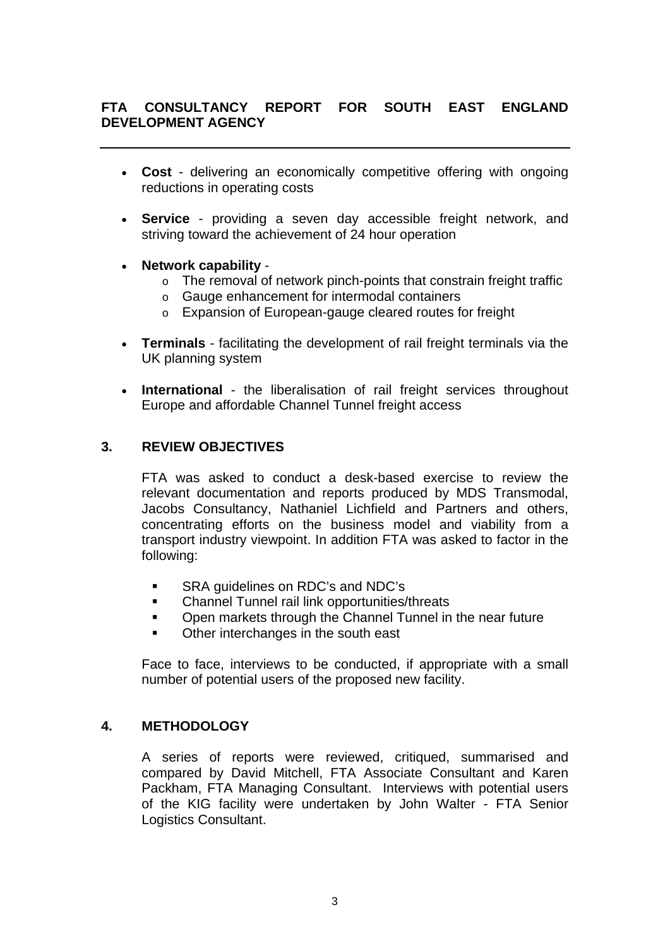- **Cost**  delivering an economically competitive offering with ongoing reductions in operating costs
- **Service** providing a seven day accessible freight network, and striving toward the achievement of 24 hour operation
- **Network capability**
	- o The removal of network pinch-points that constrain freight traffic
	- o Gauge enhancement for intermodal containers
	- o Expansion of European-gauge cleared routes for freight
- **Terminals** facilitating the development of rail freight terminals via the UK planning system
- **International** the liberalisation of rail freight services throughout Europe and affordable Channel Tunnel freight access

## **3. REVIEW OBJECTIVES**

FTA was asked to conduct a desk-based exercise to review the relevant documentation and reports produced by MDS Transmodal, Jacobs Consultancy, Nathaniel Lichfield and Partners and others, concentrating efforts on the business model and viability from a transport industry viewpoint. In addition FTA was asked to factor in the following:

- **SRA quidelines on RDC's and NDC's**
- **EXECHANNEL THE THE CHANNEL THE THE THE CHANNEL THE CHANNEL FULL**
- **•** Open markets through the Channel Tunnel in the near future
- Other interchanges in the south east

Face to face, interviews to be conducted, if appropriate with a small number of potential users of the proposed new facility.

## **4. METHODOLOGY**

A series of reports were reviewed, critiqued, summarised and compared by David Mitchell, FTA Associate Consultant and Karen Packham, FTA Managing Consultant. Interviews with potential users of the KIG facility were undertaken by John Walter - FTA Senior Logistics Consultant.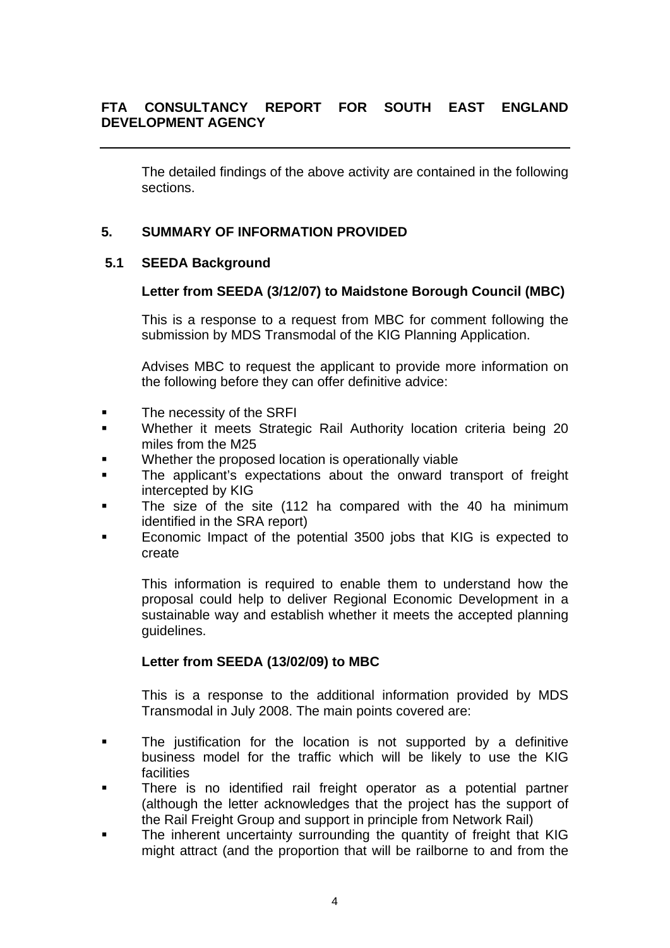The detailed findings of the above activity are contained in the following sections.

# **5. SUMMARY OF INFORMATION PROVIDED**

## **5.1 SEEDA Background**

## **Letter from SEEDA (3/12/07) to Maidstone Borough Council (MBC)**

This is a response to a request from MBC for comment following the submission by MDS Transmodal of the KIG Planning Application.

Advises MBC to request the applicant to provide more information on the following before they can offer definitive advice:

- **The necessity of the SRFI**
- Whether it meets Strategic Rail Authority location criteria being 20 miles from the M25
- Whether the proposed location is operationally viable
- The applicant's expectations about the onward transport of freight intercepted by KIG
- The size of the site (112 ha compared with the 40 ha minimum identified in the SRA report)
- Economic Impact of the potential 3500 jobs that KIG is expected to create

This information is required to enable them to understand how the proposal could help to deliver Regional Economic Development in a sustainable way and establish whether it meets the accepted planning guidelines.

## **Letter from SEEDA (13/02/09) to MBC**

This is a response to the additional information provided by MDS Transmodal in July 2008. The main points covered are:

- **The justification for the location is not supported by a definitive** business model for the traffic which will be likely to use the KIG **facilities**
- There is no identified rail freight operator as a potential partner (although the letter acknowledges that the project has the support of the Rail Freight Group and support in principle from Network Rail)
- The inherent uncertainty surrounding the quantity of freight that KIG might attract (and the proportion that will be railborne to and from the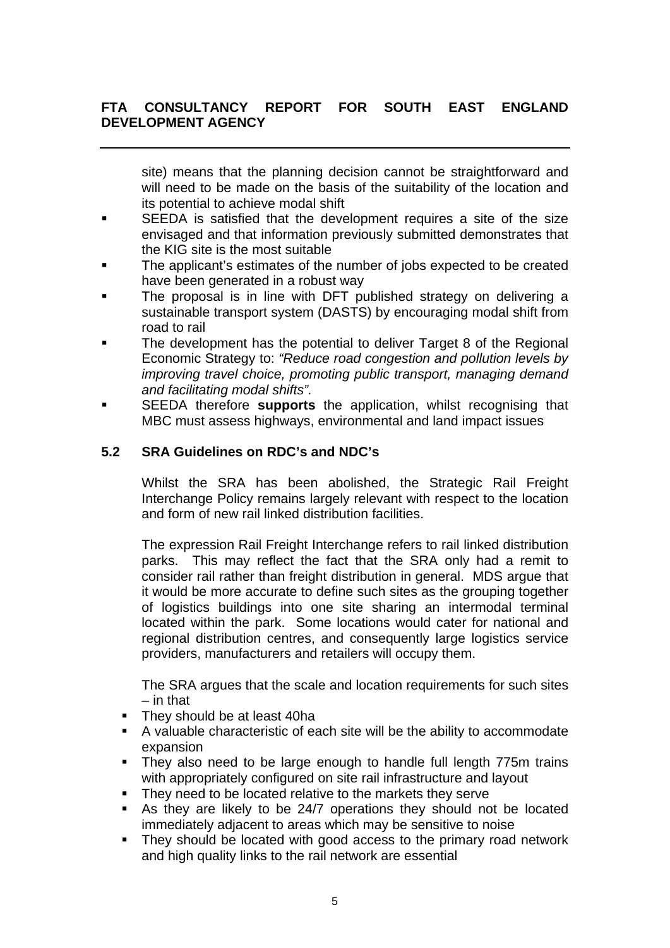site) means that the planning decision cannot be straightforward and will need to be made on the basis of the suitability of the location and its potential to achieve modal shift

- SEEDA is satisfied that the development requires a site of the size envisaged and that information previously submitted demonstrates that the KIG site is the most suitable
- The applicant's estimates of the number of jobs expected to be created have been generated in a robust way
- The proposal is in line with DFT published strategy on delivering a sustainable transport system (DASTS) by encouraging modal shift from road to rail
- The development has the potential to deliver Target 8 of the Regional Economic Strategy to: *"Reduce road congestion and pollution levels by improving travel choice, promoting public transport, managing demand and facilitating modal shifts".*
- SEEDA therefore **supports** the application, whilst recognising that MBC must assess highways, environmental and land impact issues

# **5.2 SRA Guidelines on RDC's and NDC's**

Whilst the SRA has been abolished, the Strategic Rail Freight Interchange Policy remains largely relevant with respect to the location and form of new rail linked distribution facilities.

The expression Rail Freight Interchange refers to rail linked distribution parks. This may reflect the fact that the SRA only had a remit to consider rail rather than freight distribution in general. MDS argue that it would be more accurate to define such sites as the grouping together of logistics buildings into one site sharing an intermodal terminal located within the park. Some locations would cater for national and regional distribution centres, and consequently large logistics service providers, manufacturers and retailers will occupy them.

The SRA argues that the scale and location requirements for such sites – in that

- They should be at least 40ha
- A valuable characteristic of each site will be the ability to accommodate expansion
- They also need to be large enough to handle full length 775m trains with appropriately configured on site rail infrastructure and layout
- They need to be located relative to the markets they serve
- As they are likely to be 24/7 operations they should not be located immediately adjacent to areas which may be sensitive to noise
- They should be located with good access to the primary road network and high quality links to the rail network are essential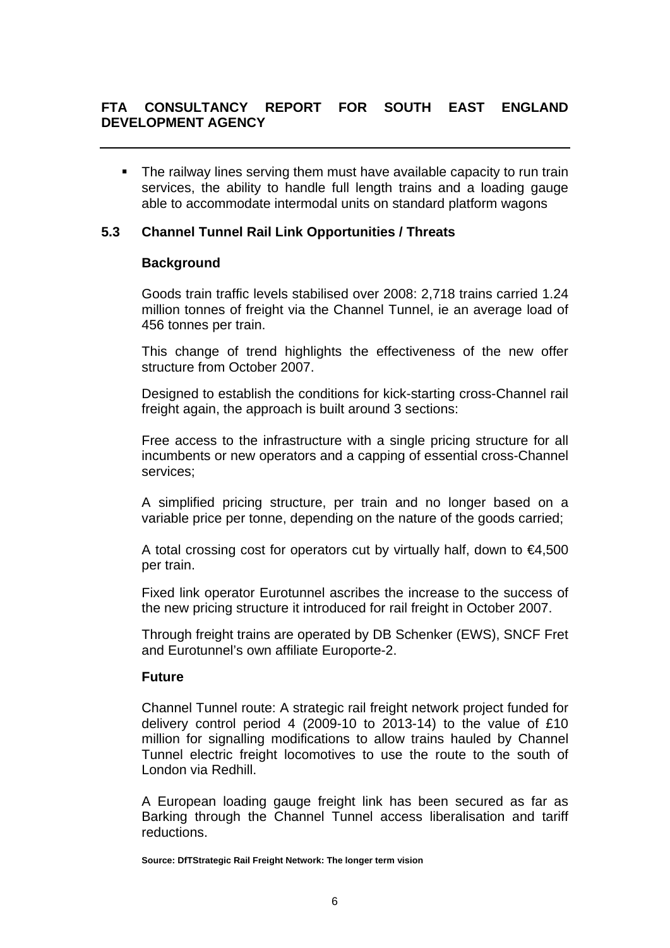• The railway lines serving them must have available capacity to run train services, the ability to handle full length trains and a loading gauge able to accommodate intermodal units on standard platform wagons

## **5.3 Channel Tunnel Rail Link Opportunities / Threats**

### **Background**

Goods train traffic levels stabilised over 2008: 2,718 trains carried 1.24 million tonnes of freight via the Channel Tunnel, ie an average load of 456 tonnes per train.

This change of trend highlights the effectiveness of the new offer structure from October 2007.

Designed to establish the conditions for kick-starting cross-Channel rail freight again, the approach is built around 3 sections:

Free access to the infrastructure with a single pricing structure for all incumbents or new operators and a capping of essential cross-Channel services;

A simplified pricing structure, per train and no longer based on a variable price per tonne, depending on the nature of the goods carried;

A total crossing cost for operators cut by virtually half, down to  $\epsilon$ 4,500 per train.

Fixed link operator Eurotunnel ascribes the increase to the success of the new pricing structure it introduced for rail freight in October 2007.

Through freight trains are operated by DB Schenker (EWS), SNCF Fret and Eurotunnel's own affiliate Europorte-2.

#### **Future**

Channel Tunnel route: A strategic rail freight network project funded for delivery control period 4 (2009-10 to 2013-14) to the value of £10 million for signalling modifications to allow trains hauled by Channel Tunnel electric freight locomotives to use the route to the south of London via Redhill.

A European loading gauge freight link has been secured as far as Barking through the Channel Tunnel access liberalisation and tariff reductions.

**Source: DfTStrategic Rail Freight Network: The longer term vision**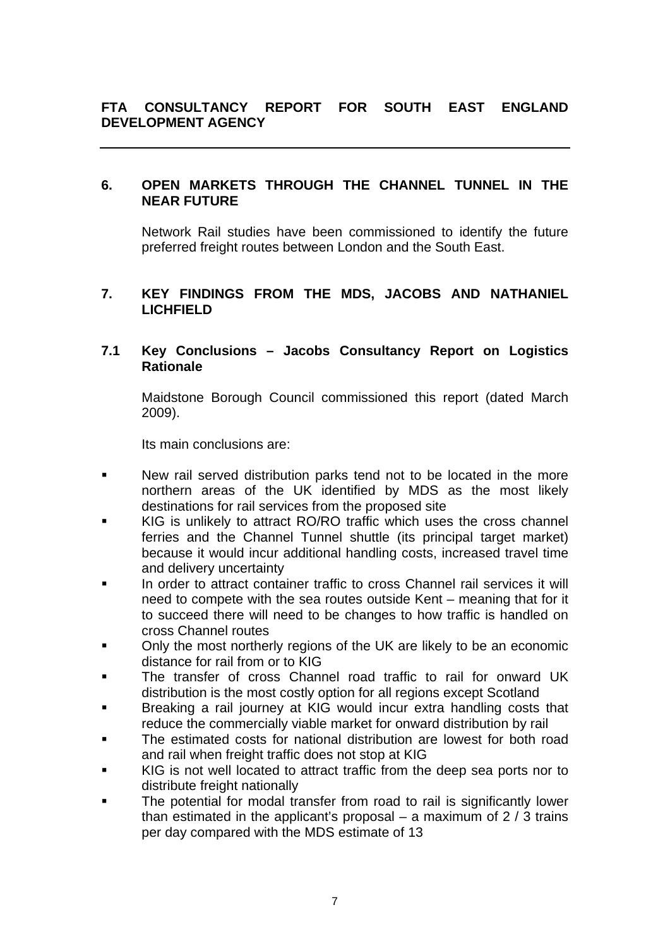### **6. OPEN MARKETS THROUGH THE CHANNEL TUNNEL IN THE NEAR FUTURE**

Network Rail studies have been commissioned to identify the future preferred freight routes between London and the South East.

## **7. KEY FINDINGS FROM THE MDS, JACOBS AND NATHANIEL LICHFIELD**

## **7.1 Key Conclusions – Jacobs Consultancy Report on Logistics Rationale**

 Maidstone Borough Council commissioned this report (dated March 2009).

Its main conclusions are:

- New rail served distribution parks tend not to be located in the more northern areas of the UK identified by MDS as the most likely destinations for rail services from the proposed site
- KIG is unlikely to attract RO/RO traffic which uses the cross channel ferries and the Channel Tunnel shuttle (its principal target market) because it would incur additional handling costs, increased travel time and delivery uncertainty
- In order to attract container traffic to cross Channel rail services it will need to compete with the sea routes outside Kent – meaning that for it to succeed there will need to be changes to how traffic is handled on cross Channel routes
- Only the most northerly regions of the UK are likely to be an economic distance for rail from or to KIG
- The transfer of cross Channel road traffic to rail for onward UK distribution is the most costly option for all regions except Scotland
- **Breaking a rail journey at KIG would incur extra handling costs that** reduce the commercially viable market for onward distribution by rail
- The estimated costs for national distribution are lowest for both road and rail when freight traffic does not stop at KIG
- KIG is not well located to attract traffic from the deep sea ports nor to distribute freight nationally
- The potential for modal transfer from road to rail is significantly lower than estimated in the applicant's proposal – a maximum of  $2/3$  trains per day compared with the MDS estimate of 13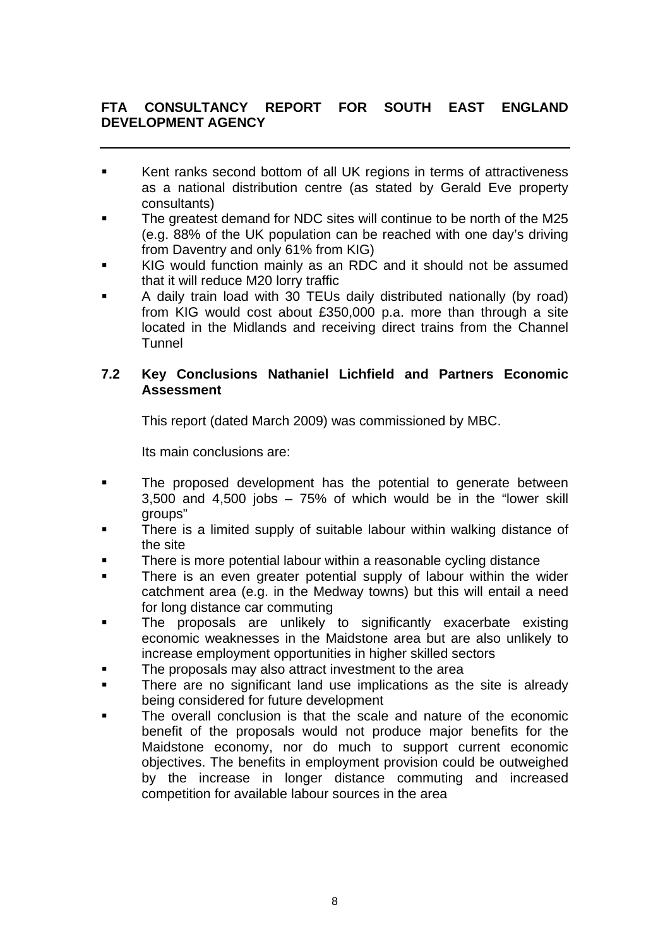- Kent ranks second bottom of all UK regions in terms of attractiveness as a national distribution centre (as stated by Gerald Eve property consultants)
- The greatest demand for NDC sites will continue to be north of the M25 (e.g. 88% of the UK population can be reached with one day's driving from Daventry and only 61% from KIG)
- KIG would function mainly as an RDC and it should not be assumed that it will reduce M20 lorry traffic
- A daily train load with 30 TEUs daily distributed nationally (by road) from KIG would cost about £350,000 p.a. more than through a site located in the Midlands and receiving direct trains from the Channel **Tunnel**

## **7.2 Key Conclusions Nathaniel Lichfield and Partners Economic Assessment**

This report (dated March 2009) was commissioned by MBC.

Its main conclusions are:

- **The proposed development has the potential to generate between** 3,500 and 4,500 jobs – 75% of which would be in the "lower skill groups"
- **There is a limited supply of suitable labour within walking distance of** the site
- There is more potential labour within a reasonable cycling distance
- There is an even greater potential supply of labour within the wider catchment area (e.g. in the Medway towns) but this will entail a need for long distance car commuting
- The proposals are unlikely to significantly exacerbate existing economic weaknesses in the Maidstone area but are also unlikely to increase employment opportunities in higher skilled sectors
- The proposals may also attract investment to the area
- **There are no significant land use implications as the site is already** being considered for future development
- The overall conclusion is that the scale and nature of the economic benefit of the proposals would not produce major benefits for the Maidstone economy, nor do much to support current economic objectives. The benefits in employment provision could be outweighed by the increase in longer distance commuting and increased competition for available labour sources in the area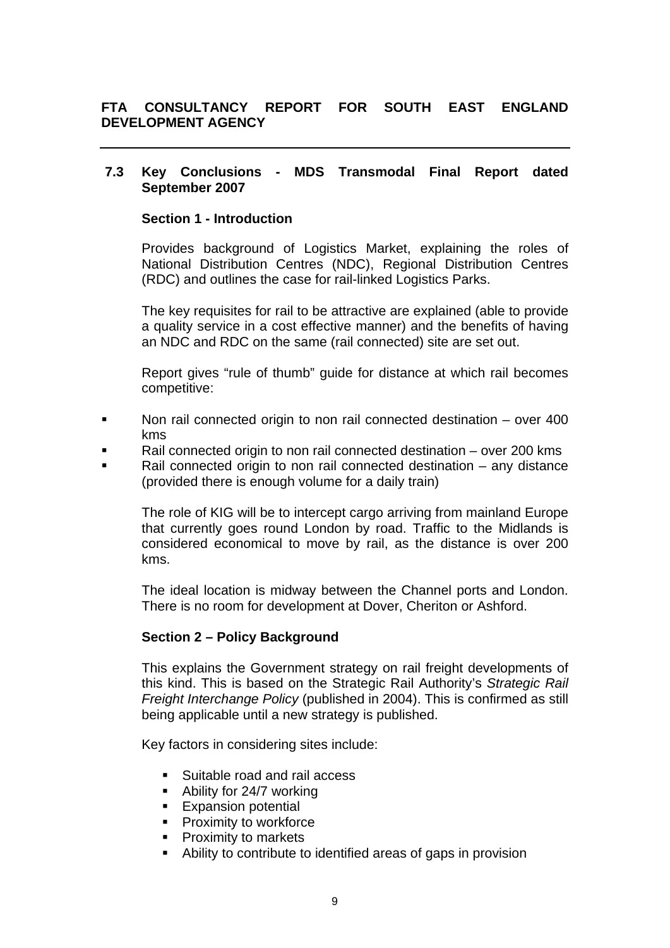## **7.3 Key Conclusions - MDS Transmodal Final Report dated September 2007**

### **Section 1 - Introduction**

Provides background of Logistics Market, explaining the roles of National Distribution Centres (NDC), Regional Distribution Centres (RDC) and outlines the case for rail-linked Logistics Parks.

The key requisites for rail to be attractive are explained (able to provide a quality service in a cost effective manner) and the benefits of having an NDC and RDC on the same (rail connected) site are set out.

Report gives "rule of thumb" guide for distance at which rail becomes competitive:

- Non rail connected origin to non rail connected destination over 400 kms
- Rail connected origin to non rail connected destination over 200 kms
- Rail connected origin to non rail connected destination any distance (provided there is enough volume for a daily train)

The role of KIG will be to intercept cargo arriving from mainland Europe that currently goes round London by road. Traffic to the Midlands is considered economical to move by rail, as the distance is over 200 kms.

The ideal location is midway between the Channel ports and London. There is no room for development at Dover, Cheriton or Ashford.

## **Section 2 – Policy Background**

This explains the Government strategy on rail freight developments of this kind. This is based on the Strategic Rail Authority's *Strategic Rail Freight Interchange Policy* (published in 2004). This is confirmed as still being applicable until a new strategy is published.

Key factors in considering sites include:

- **Suitable road and rail access**
- Ability for 24/7 working
- **Expansion potential**
- $\blacksquare$  Proximity to workforce
- **Proximity to markets**
- Ability to contribute to identified areas of gaps in provision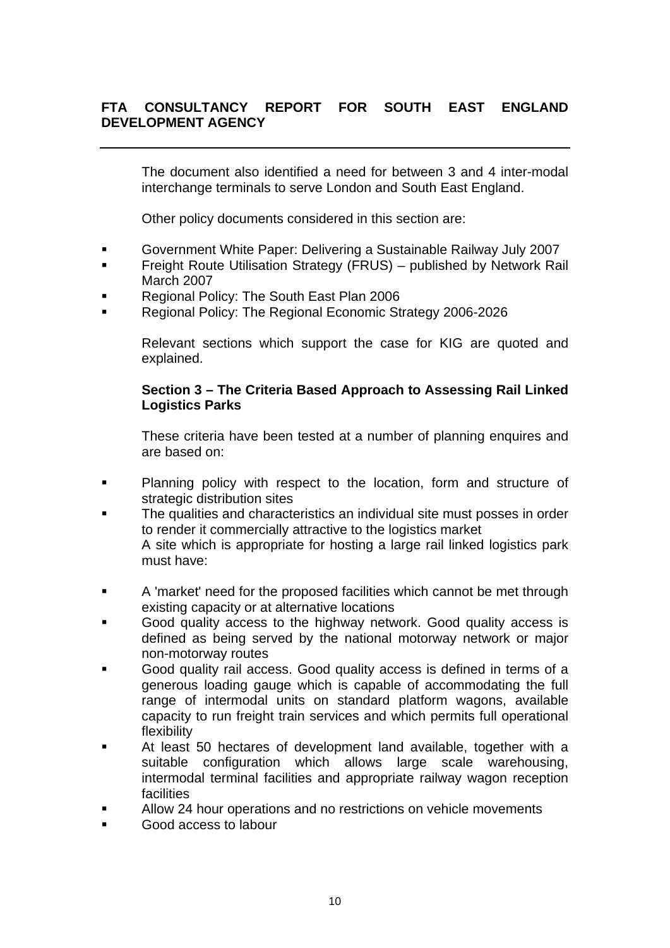The document also identified a need for between 3 and 4 inter-modal interchange terminals to serve London and South East England.

Other policy documents considered in this section are:

- Government White Paper: Delivering a Sustainable Railway July 2007
- Freight Route Utilisation Strategy (FRUS) published by Network Rail March 2007
- Regional Policy: The South East Plan 2006
- Regional Policy: The Regional Economic Strategy 2006-2026

Relevant sections which support the case for KIG are quoted and explained.

## **Section 3 – The Criteria Based Approach to Assessing Rail Linked Logistics Parks**

These criteria have been tested at a number of planning enquires and are based on:

- **Planning policy with respect to the location, form and structure of** strategic distribution sites
- The qualities and characteristics an individual site must posses in order to render it commercially attractive to the logistics market A site which is appropriate for hosting a large rail linked logistics park must have:
- A 'market' need for the proposed facilities which cannot be met through existing capacity or at alternative locations
- Good quality access to the highway network. Good quality access is defined as being served by the national motorway network or major non-motorway routes
- Good quality rail access. Good quality access is defined in terms of a generous loading gauge which is capable of accommodating the full range of intermodal units on standard platform wagons, available capacity to run freight train services and which permits full operational flexibility
- At least 50 hectares of development land available, together with a suitable configuration which allows large scale warehousing, intermodal terminal facilities and appropriate railway wagon reception facilities
- Allow 24 hour operations and no restrictions on vehicle movements
- Good access to labour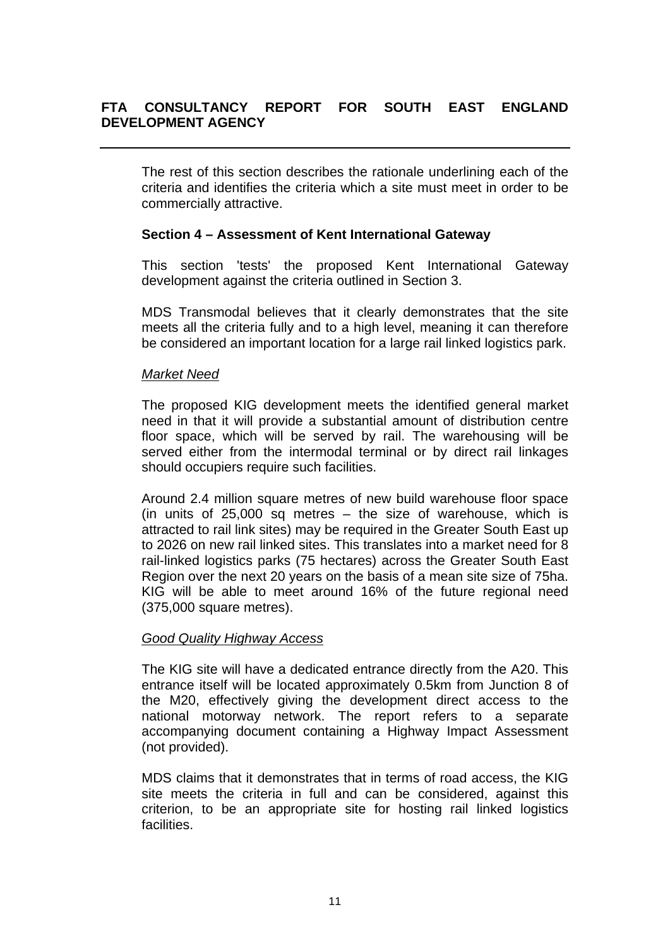The rest of this section describes the rationale underlining each of the criteria and identifies the criteria which a site must meet in order to be commercially attractive.

## **Section 4 – Assessment of Kent International Gateway**

This section 'tests' the proposed Kent International Gateway development against the criteria outlined in Section 3.

MDS Transmodal believes that it clearly demonstrates that the site meets all the criteria fully and to a high level, meaning it can therefore be considered an important location for a large rail linked logistics park.

### *Market Need*

The proposed KIG development meets the identified general market need in that it will provide a substantial amount of distribution centre floor space, which will be served by rail. The warehousing will be served either from the intermodal terminal or by direct rail linkages should occupiers require such facilities.

Around 2.4 million square metres of new build warehouse floor space (in units of  $25,000$  sq metres – the size of warehouse, which is attracted to rail link sites) may be required in the Greater South East up to 2026 on new rail linked sites. This translates into a market need for 8 rail-linked logistics parks (75 hectares) across the Greater South East Region over the next 20 years on the basis of a mean site size of 75ha. KIG will be able to meet around 16% of the future regional need (375,000 square metres).

## *Good Quality Highway Access*

The KIG site will have a dedicated entrance directly from the A20. This entrance itself will be located approximately 0.5km from Junction 8 of the M20, effectively giving the development direct access to the national motorway network. The report refers to a separate accompanying document containing a Highway Impact Assessment (not provided).

MDS claims that it demonstrates that in terms of road access, the KIG site meets the criteria in full and can be considered, against this criterion, to be an appropriate site for hosting rail linked logistics facilities.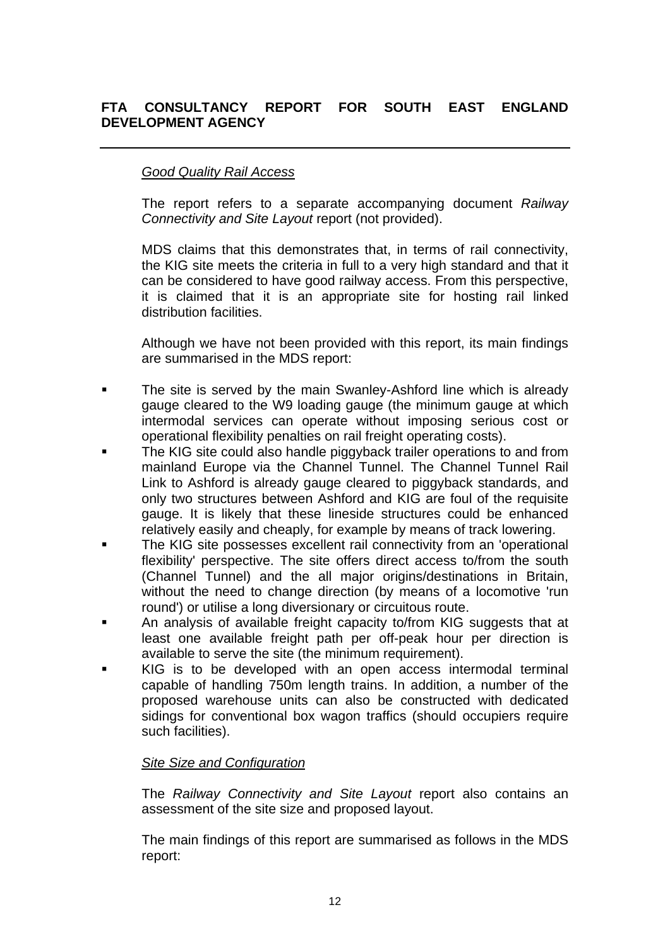## *Good Quality Rail Access*

The report refers to a separate accompanying document *Railway Connectivity and Site Layout* report (not provided).

MDS claims that this demonstrates that, in terms of rail connectivity, the KIG site meets the criteria in full to a very high standard and that it can be considered to have good railway access. From this perspective, it is claimed that it is an appropriate site for hosting rail linked distribution facilities.

Although we have not been provided with this report, its main findings are summarised in the MDS report:

- The site is served by the main Swanley-Ashford line which is already gauge cleared to the W9 loading gauge (the minimum gauge at which intermodal services can operate without imposing serious cost or operational flexibility penalties on rail freight operating costs).
- The KIG site could also handle piggyback trailer operations to and from mainland Europe via the Channel Tunnel. The Channel Tunnel Rail Link to Ashford is already gauge cleared to piggyback standards, and only two structures between Ashford and KIG are foul of the requisite gauge. It is likely that these lineside structures could be enhanced relatively easily and cheaply, for example by means of track lowering.
- The KIG site possesses excellent rail connectivity from an 'operational flexibility' perspective. The site offers direct access to/from the south (Channel Tunnel) and the all major origins/destinations in Britain, without the need to change direction (by means of a locomotive 'run round') or utilise a long diversionary or circuitous route.
- An analysis of available freight capacity to/from KIG suggests that at least one available freight path per off-peak hour per direction is available to serve the site (the minimum requirement).
- KIG is to be developed with an open access intermodal terminal capable of handling 750m length trains. In addition, a number of the proposed warehouse units can also be constructed with dedicated sidings for conventional box wagon traffics (should occupiers require such facilities).

## *Site Size and Configuration*

The *Railway Connectivity and Site Layout* report also contains an assessment of the site size and proposed layout.

The main findings of this report are summarised as follows in the MDS report: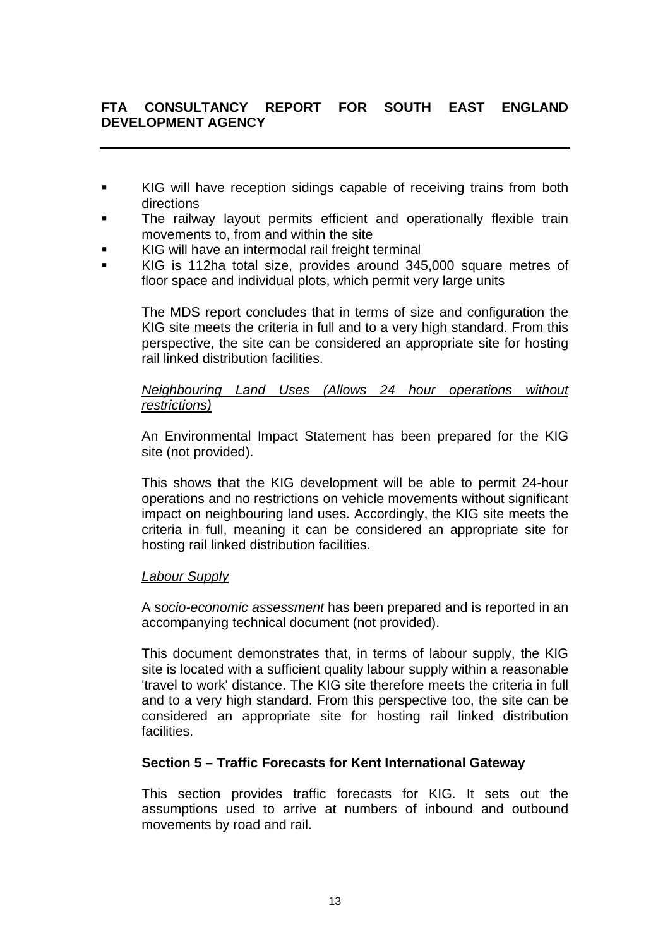- KIG will have reception sidings capable of receiving trains from both directions
- The railway layout permits efficient and operationally flexible train movements to, from and within the site
- KIG will have an intermodal rail freight terminal
- KIG is 112ha total size, provides around 345,000 square metres of floor space and individual plots, which permit very large units

The MDS report concludes that in terms of size and configuration the KIG site meets the criteria in full and to a very high standard. From this perspective, the site can be considered an appropriate site for hosting rail linked distribution facilities.

## *Neighbouring Land Uses (Allows 24 hour operations without restrictions)*

An Environmental Impact Statement has been prepared for the KIG site (not provided).

This shows that the KIG development will be able to permit 24-hour operations and no restrictions on vehicle movements without significant impact on neighbouring land uses. Accordingly, the KIG site meets the criteria in full, meaning it can be considered an appropriate site for hosting rail linked distribution facilities.

## *Labour Supply*

A s*ocio-economic assessment* has been prepared and is reported in an accompanying technical document (not provided).

This document demonstrates that, in terms of labour supply, the KIG site is located with a sufficient quality labour supply within a reasonable 'travel to work' distance. The KIG site therefore meets the criteria in full and to a very high standard. From this perspective too, the site can be considered an appropriate site for hosting rail linked distribution facilities.

## **Section 5 – Traffic Forecasts for Kent International Gateway**

This section provides traffic forecasts for KIG. It sets out the assumptions used to arrive at numbers of inbound and outbound movements by road and rail.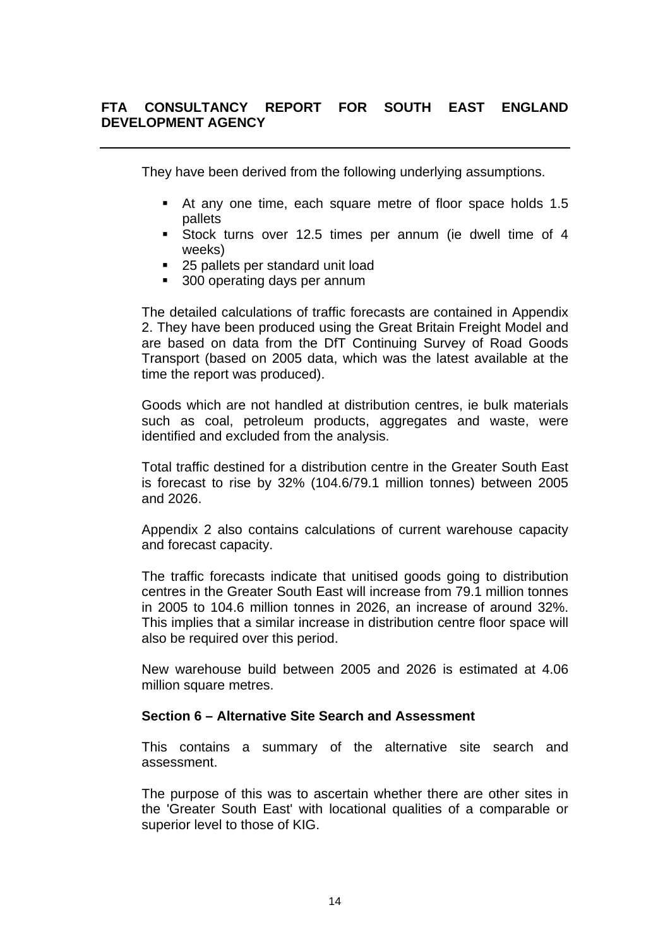They have been derived from the following underlying assumptions.

- At any one time, each square metre of floor space holds 1.5 pallets
- Stock turns over 12.5 times per annum (ie dwell time of 4 weeks)
- 25 pallets per standard unit load
- 300 operating days per annum

The detailed calculations of traffic forecasts are contained in Appendix 2. They have been produced using the Great Britain Freight Model and are based on data from the DfT Continuing Survey of Road Goods Transport (based on 2005 data, which was the latest available at the time the report was produced).

Goods which are not handled at distribution centres, ie bulk materials such as coal, petroleum products, aggregates and waste, were identified and excluded from the analysis.

Total traffic destined for a distribution centre in the Greater South East is forecast to rise by 32% (104.6/79.1 million tonnes) between 2005 and 2026.

Appendix 2 also contains calculations of current warehouse capacity and forecast capacity.

The traffic forecasts indicate that unitised goods going to distribution centres in the Greater South East will increase from 79.1 million tonnes in 2005 to 104.6 million tonnes in 2026, an increase of around 32%. This implies that a similar increase in distribution centre floor space will also be required over this period.

New warehouse build between 2005 and 2026 is estimated at 4.06 million square metres.

#### **Section 6 – Alternative Site Search and Assessment**

This contains a summary of the alternative site search and assessment.

The purpose of this was to ascertain whether there are other sites in the 'Greater South East' with locational qualities of a comparable or superior level to those of KIG.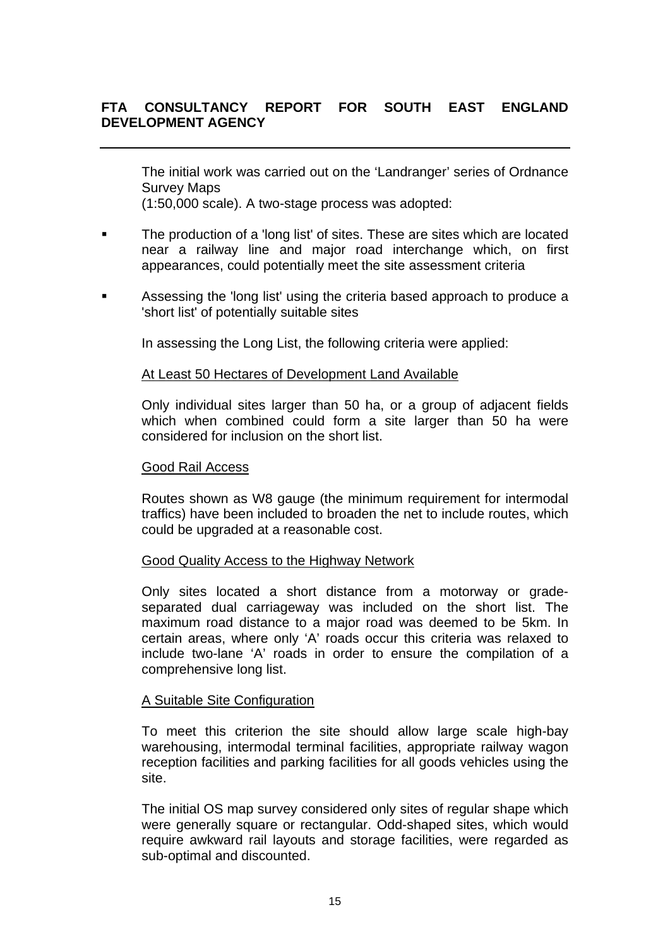The initial work was carried out on the 'Landranger' series of Ordnance Survey Maps

(1:50,000 scale). A two-stage process was adopted:

- The production of a 'long list' of sites. These are sites which are located near a railway line and major road interchange which, on first appearances, could potentially meet the site assessment criteria
- Assessing the 'long list' using the criteria based approach to produce a 'short list' of potentially suitable sites

In assessing the Long List, the following criteria were applied:

### At Least 50 Hectares of Development Land Available

Only individual sites larger than 50 ha, or a group of adjacent fields which when combined could form a site larger than 50 ha were considered for inclusion on the short list.

#### Good Rail Access

Routes shown as W8 gauge (the minimum requirement for intermodal traffics) have been included to broaden the net to include routes, which could be upgraded at a reasonable cost.

#### Good Quality Access to the Highway Network

Only sites located a short distance from a motorway or gradeseparated dual carriageway was included on the short list. The maximum road distance to a major road was deemed to be 5km. In certain areas, where only 'A' roads occur this criteria was relaxed to include two-lane 'A' roads in order to ensure the compilation of a comprehensive long list.

#### A Suitable Site Configuration

To meet this criterion the site should allow large scale high-bay warehousing, intermodal terminal facilities, appropriate railway wagon reception facilities and parking facilities for all goods vehicles using the site.

The initial OS map survey considered only sites of regular shape which were generally square or rectangular. Odd-shaped sites, which would require awkward rail layouts and storage facilities, were regarded as sub-optimal and discounted.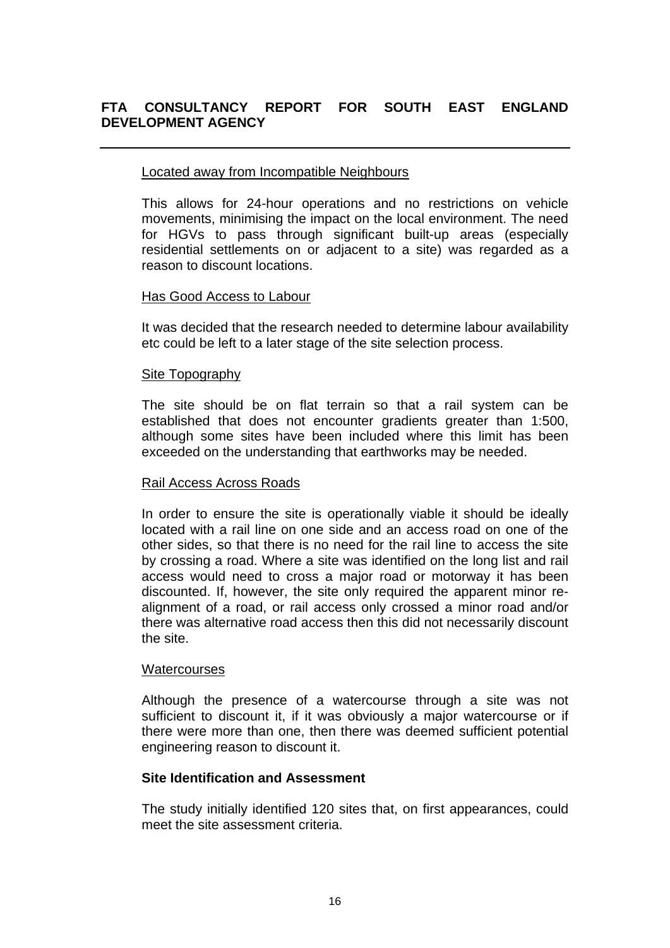### Located away from Incompatible Neighbours

This allows for 24-hour operations and no restrictions on vehicle movements, minimising the impact on the local environment. The need for HGVs to pass through significant built-up areas (especially residential settlements on or adjacent to a site) was regarded as a reason to discount locations.

#### Has Good Access to Labour

It was decided that the research needed to determine labour availability etc could be left to a later stage of the site selection process.

### Site Topography

The site should be on flat terrain so that a rail system can be established that does not encounter gradients greater than 1:500, although some sites have been included where this limit has been exceeded on the understanding that earthworks may be needed.

#### Rail Access Across Roads

In order to ensure the site is operationally viable it should be ideally located with a rail line on one side and an access road on one of the other sides, so that there is no need for the rail line to access the site by crossing a road. Where a site was identified on the long list and rail access would need to cross a major road or motorway it has been discounted. If, however, the site only required the apparent minor realignment of a road, or rail access only crossed a minor road and/or there was alternative road access then this did not necessarily discount the site.

#### **Watercourses**

Although the presence of a watercourse through a site was not sufficient to discount it, if it was obviously a major watercourse or if there were more than one, then there was deemed sufficient potential engineering reason to discount it.

## **Site Identification and Assessment**

The study initially identified 120 sites that, on first appearances, could meet the site assessment criteria.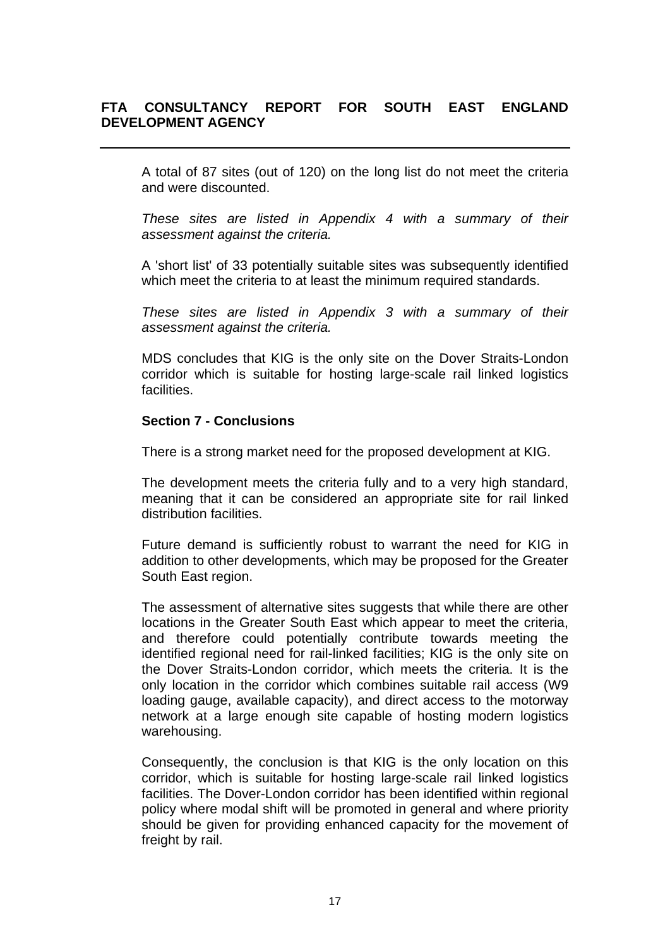A total of 87 sites (out of 120) on the long list do not meet the criteria and were discounted.

*These sites are listed in Appendix 4 with a summary of their assessment against the criteria.* 

A 'short list' of 33 potentially suitable sites was subsequently identified which meet the criteria to at least the minimum required standards.

*These sites are listed in Appendix 3 with a summary of their assessment against the criteria.* 

MDS concludes that KIG is the only site on the Dover Straits-London corridor which is suitable for hosting large-scale rail linked logistics facilities.

#### **Section 7 - Conclusions**

There is a strong market need for the proposed development at KIG.

The development meets the criteria fully and to a very high standard, meaning that it can be considered an appropriate site for rail linked distribution facilities.

Future demand is sufficiently robust to warrant the need for KIG in addition to other developments, which may be proposed for the Greater South East region.

The assessment of alternative sites suggests that while there are other locations in the Greater South East which appear to meet the criteria, and therefore could potentially contribute towards meeting the identified regional need for rail-linked facilities; KIG is the only site on the Dover Straits-London corridor, which meets the criteria. It is the only location in the corridor which combines suitable rail access (W9 loading gauge, available capacity), and direct access to the motorway network at a large enough site capable of hosting modern logistics warehousing.

Consequently, the conclusion is that KIG is the only location on this corridor, which is suitable for hosting large-scale rail linked logistics facilities. The Dover-London corridor has been identified within regional policy where modal shift will be promoted in general and where priority should be given for providing enhanced capacity for the movement of freight by rail.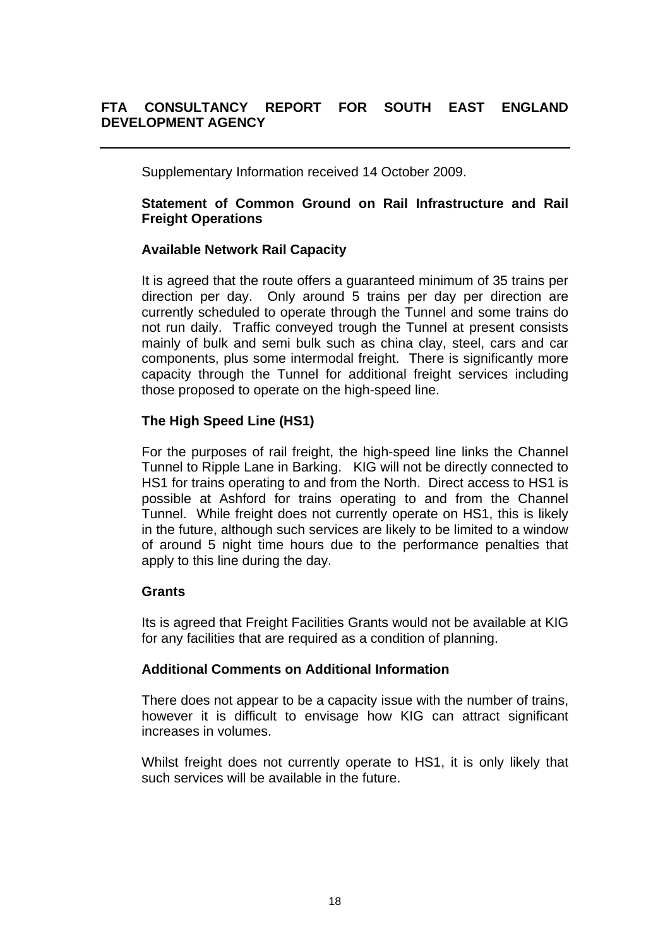Supplementary Information received 14 October 2009.

## **Statement of Common Ground on Rail Infrastructure and Rail Freight Operations**

## **Available Network Rail Capacity**

It is agreed that the route offers a guaranteed minimum of 35 trains per direction per day. Only around 5 trains per day per direction are currently scheduled to operate through the Tunnel and some trains do not run daily. Traffic conveyed trough the Tunnel at present consists mainly of bulk and semi bulk such as china clay, steel, cars and car components, plus some intermodal freight. There is significantly more capacity through the Tunnel for additional freight services including those proposed to operate on the high-speed line.

## **The High Speed Line (HS1)**

For the purposes of rail freight, the high-speed line links the Channel Tunnel to Ripple Lane in Barking. KIG will not be directly connected to HS1 for trains operating to and from the North. Direct access to HS1 is possible at Ashford for trains operating to and from the Channel Tunnel. While freight does not currently operate on HS1, this is likely in the future, although such services are likely to be limited to a window of around 5 night time hours due to the performance penalties that apply to this line during the day.

## **Grants**

Its is agreed that Freight Facilities Grants would not be available at KIG for any facilities that are required as a condition of planning.

## **Additional Comments on Additional Information**

There does not appear to be a capacity issue with the number of trains, however it is difficult to envisage how KIG can attract significant increases in volumes.

Whilst freight does not currently operate to HS1, it is only likely that such services will be available in the future.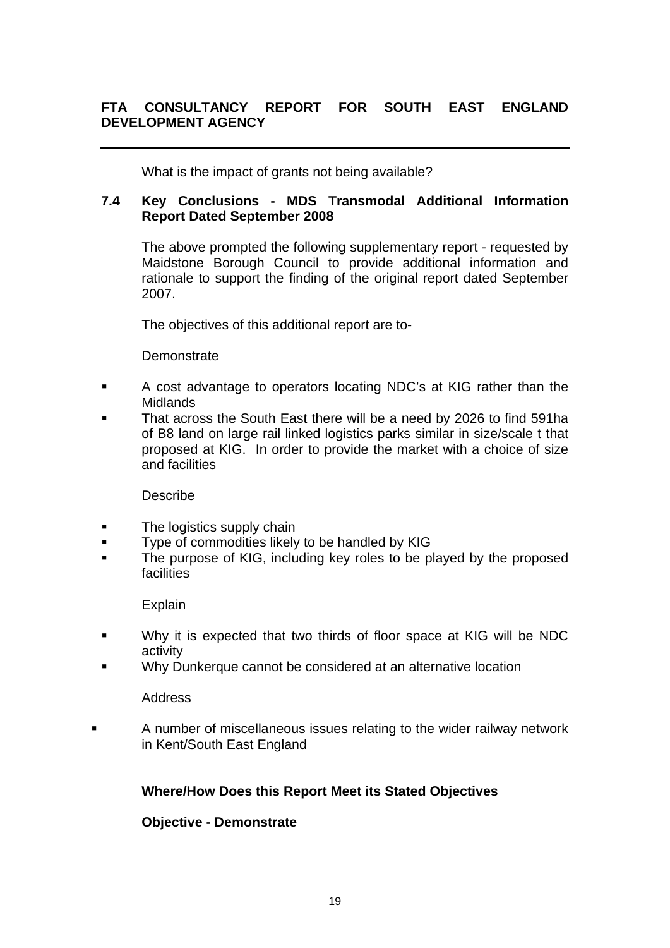What is the impact of grants not being available?

## **7.4 Key Conclusions - MDS Transmodal Additional Information Report Dated September 2008**

The above prompted the following supplementary report - requested by Maidstone Borough Council to provide additional information and rationale to support the finding of the original report dated September 2007.

The objectives of this additional report are to-

## **Demonstrate**

- A cost advantage to operators locating NDC's at KIG rather than the Midlands
- That across the South East there will be a need by 2026 to find 591ha of B8 land on large rail linked logistics parks similar in size/scale t that proposed at KIG. In order to provide the market with a choice of size and facilities

## Describe

- **The logistics supply chain**
- **Type of commodities likely to be handled by KIG**
- The purpose of KIG, including key roles to be played by the proposed facilities

## Explain

- Why it is expected that two thirds of floor space at KIG will be NDC activity
- Why Dunkerque cannot be considered at an alternative location

#### Address

 A number of miscellaneous issues relating to the wider railway network in Kent/South East England

# **Where/How Does this Report Meet its Stated Objectives**

## **Objective - Demonstrate**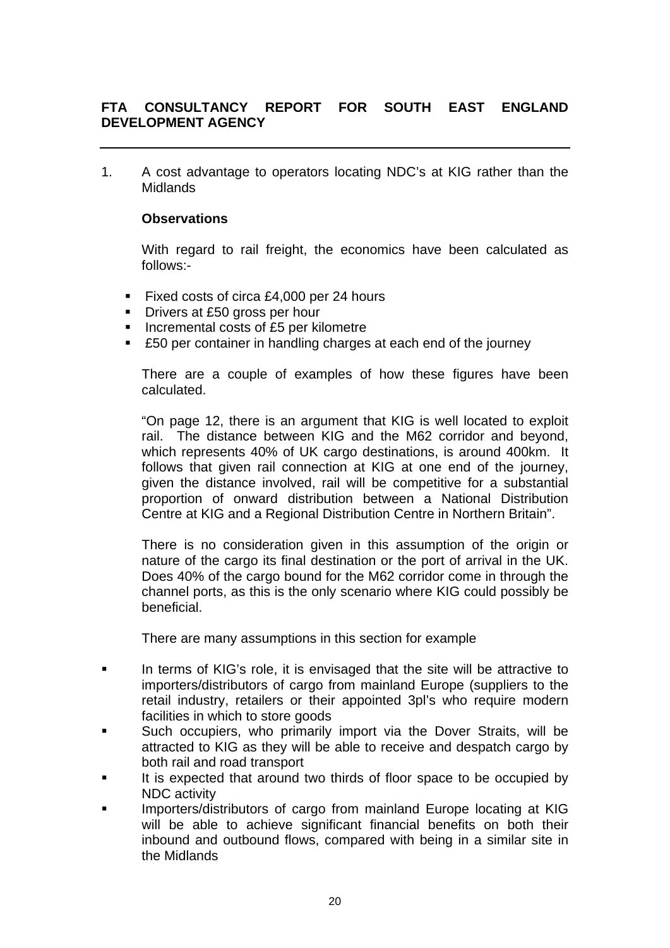1. A cost advantage to operators locating NDC's at KIG rather than the Midlands

## **Observations**

With regard to rail freight, the economics have been calculated as follows:-

- Fixed costs of circa £4,000 per 24 hours
- Drivers at £50 gross per hour
- Incremental costs of £5 per kilometre
- £50 per container in handling charges at each end of the journey

There are a couple of examples of how these figures have been calculated.

"On page 12, there is an argument that KIG is well located to exploit rail. The distance between KIG and the M62 corridor and beyond, which represents 40% of UK cargo destinations, is around 400km. It follows that given rail connection at KIG at one end of the journey, given the distance involved, rail will be competitive for a substantial proportion of onward distribution between a National Distribution Centre at KIG and a Regional Distribution Centre in Northern Britain".

There is no consideration given in this assumption of the origin or nature of the cargo its final destination or the port of arrival in the UK. Does 40% of the cargo bound for the M62 corridor come in through the channel ports, as this is the only scenario where KIG could possibly be beneficial.

There are many assumptions in this section for example

- In terms of KIG's role, it is envisaged that the site will be attractive to importers/distributors of cargo from mainland Europe (suppliers to the retail industry, retailers or their appointed 3pl's who require modern facilities in which to store goods
- Such occupiers, who primarily import via the Dover Straits, will be attracted to KIG as they will be able to receive and despatch cargo by both rail and road transport
- It is expected that around two thirds of floor space to be occupied by NDC activity
- Importers/distributors of cargo from mainland Europe locating at KIG will be able to achieve significant financial benefits on both their inbound and outbound flows, compared with being in a similar site in the Midlands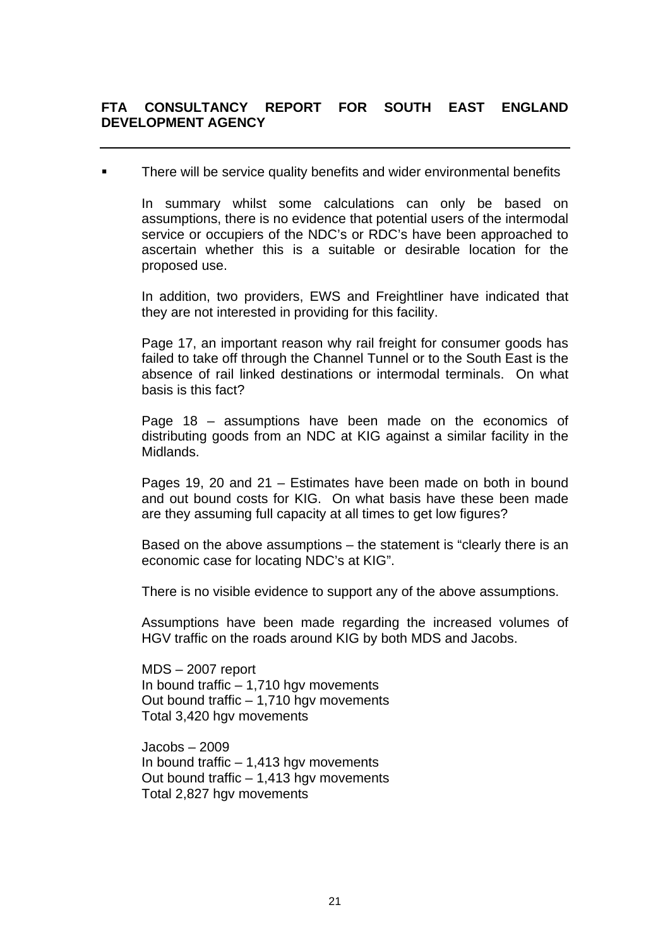**There will be service quality benefits and wider environmental benefits** 

In summary whilst some calculations can only be based on assumptions, there is no evidence that potential users of the intermodal service or occupiers of the NDC's or RDC's have been approached to ascertain whether this is a suitable or desirable location for the proposed use.

In addition, two providers, EWS and Freightliner have indicated that they are not interested in providing for this facility.

Page 17, an important reason why rail freight for consumer goods has failed to take off through the Channel Tunnel or to the South East is the absence of rail linked destinations or intermodal terminals. On what basis is this fact?

Page 18 – assumptions have been made on the economics of distributing goods from an NDC at KIG against a similar facility in the Midlands.

Pages 19, 20 and 21 – Estimates have been made on both in bound and out bound costs for KIG. On what basis have these been made are they assuming full capacity at all times to get low figures?

Based on the above assumptions – the statement is "clearly there is an economic case for locating NDC's at KIG".

There is no visible evidence to support any of the above assumptions.

Assumptions have been made regarding the increased volumes of HGV traffic on the roads around KIG by both MDS and Jacobs.

MDS – 2007 report In bound traffic – 1,710 hgv movements Out bound traffic  $-1.710$  hav movements Total 3,420 hgv movements

Jacobs – 2009 In bound traffic – 1,413 hgv movements Out bound traffic – 1,413 hgv movements Total 2,827 hgv movements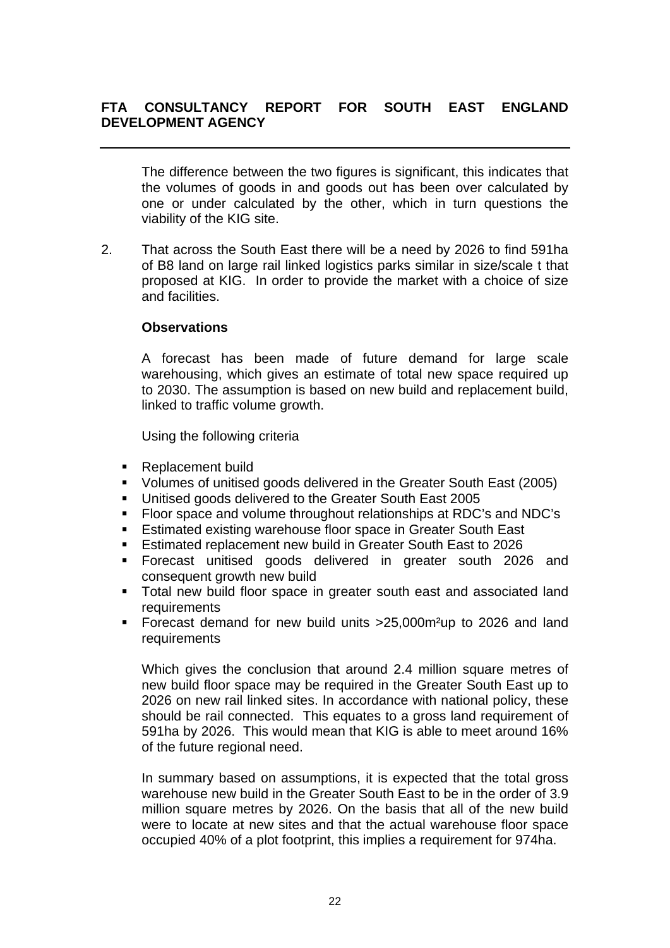The difference between the two figures is significant, this indicates that the volumes of goods in and goods out has been over calculated by one or under calculated by the other, which in turn questions the viability of the KIG site.

2. That across the South East there will be a need by 2026 to find 591ha of B8 land on large rail linked logistics parks similar in size/scale t that proposed at KIG. In order to provide the market with a choice of size and facilities.

### **Observations**

A forecast has been made of future demand for large scale warehousing, which gives an estimate of total new space required up to 2030. The assumption is based on new build and replacement build, linked to traffic volume growth.

Using the following criteria

- Replacement build
- Volumes of unitised goods delivered in the Greater South East (2005)
- Unitised goods delivered to the Greater South East 2005
- Floor space and volume throughout relationships at RDC's and NDC's
- **Estimated existing warehouse floor space in Greater South East**
- **Estimated replacement new build in Greater South East to 2026**
- Forecast unitised goods delivered in greater south 2026 and consequent growth new build
- Total new build floor space in greater south east and associated land **requirements**
- Forecast demand for new build units >25,000m²up to 2026 and land requirements

Which gives the conclusion that around 2.4 million square metres of new build floor space may be required in the Greater South East up to 2026 on new rail linked sites. In accordance with national policy, these should be rail connected. This equates to a gross land requirement of 591ha by 2026. This would mean that KIG is able to meet around 16% of the future regional need.

In summary based on assumptions, it is expected that the total gross warehouse new build in the Greater South East to be in the order of 3.9 million square metres by 2026. On the basis that all of the new build were to locate at new sites and that the actual warehouse floor space occupied 40% of a plot footprint, this implies a requirement for 974ha.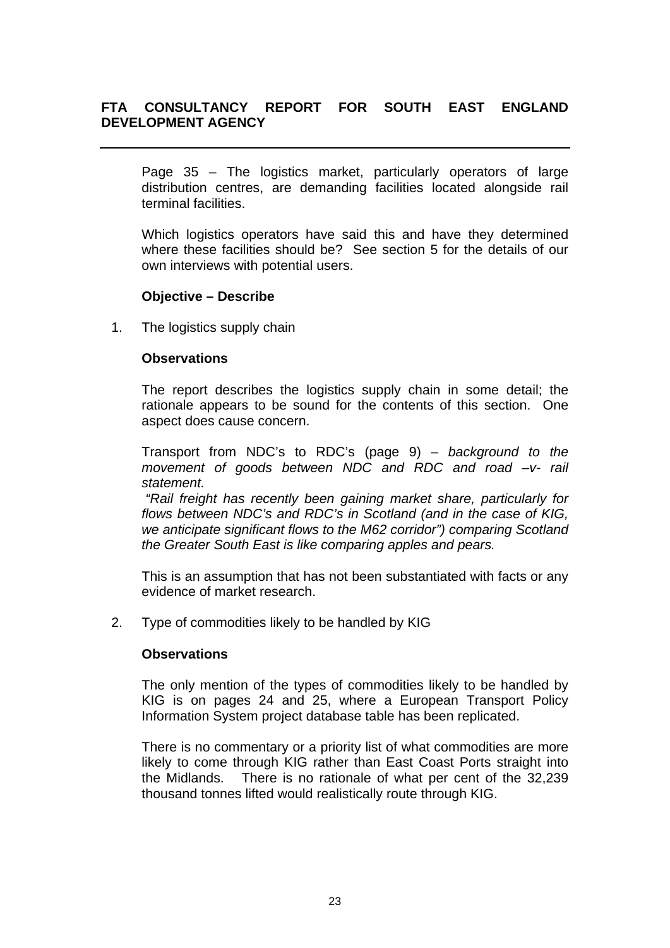Page 35 – The logistics market, particularly operators of large distribution centres, are demanding facilities located alongside rail terminal facilities.

Which logistics operators have said this and have they determined where these facilities should be? See section 5 for the details of our own interviews with potential users.

#### **Objective – Describe**

1. The logistics supply chain

#### **Observations**

The report describes the logistics supply chain in some detail; the rationale appears to be sound for the contents of this section. One aspect does cause concern.

Transport from NDC's to RDC's (page 9) *– background to the movement of goods between NDC and RDC and road –v- rail statement.* 

 *"Rail freight has recently been gaining market share, particularly for flows between NDC's and RDC's in Scotland (and in the case of KIG, we anticipate significant flows to the M62 corridor") comparing Scotland the Greater South East is like comparing apples and pears.*

This is an assumption that has not been substantiated with facts or any evidence of market research.

2. Type of commodities likely to be handled by KIG

#### **Observations**

The only mention of the types of commodities likely to be handled by KIG is on pages 24 and 25, where a European Transport Policy Information System project database table has been replicated.

There is no commentary or a priority list of what commodities are more likely to come through KIG rather than East Coast Ports straight into the Midlands. There is no rationale of what per cent of the 32,239 thousand tonnes lifted would realistically route through KIG.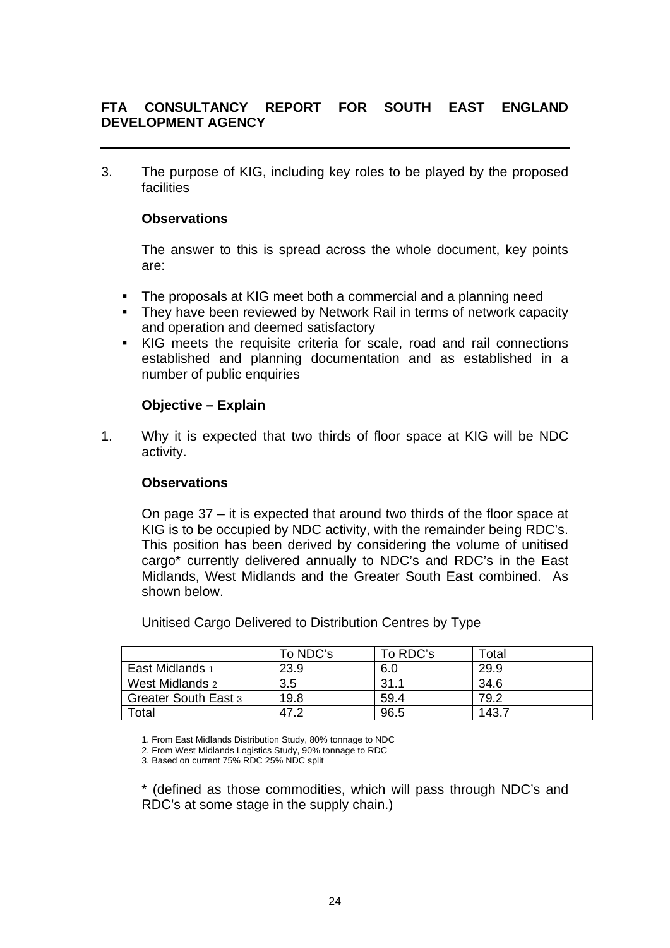3. The purpose of KIG, including key roles to be played by the proposed facilities

## **Observations**

The answer to this is spread across the whole document, key points are:

- The proposals at KIG meet both a commercial and a planning need
- They have been reviewed by Network Rail in terms of network capacity and operation and deemed satisfactory
- KIG meets the requisite criteria for scale, road and rail connections established and planning documentation and as established in a number of public enquiries

## **Objective – Explain**

1. Why it is expected that two thirds of floor space at KIG will be NDC activity.

## **Observations**

On page 37 – it is expected that around two thirds of the floor space at KIG is to be occupied by NDC activity, with the remainder being RDC's. This position has been derived by considering the volume of unitised cargo\* currently delivered annually to NDC's and RDC's in the East Midlands, West Midlands and the Greater South East combined. As shown below.

Unitised Cargo Delivered to Distribution Centres by Type

|                      | To NDC's | To RDC's | Total |
|----------------------|----------|----------|-------|
| East Midlands 1      | 23.9     | 6.0      | 29.9  |
| West Midlands 2      | 3.5      | 31.1     | 34.6  |
| Greater South East 3 | 19.8     | 59.4     | 79.2  |
| Total                | 47.2     | 96.5     | 143.7 |

1. From East Midlands Distribution Study, 80% tonnage to NDC

2. From West Midlands Logistics Study, 90% tonnage to RDC

3. Based on current 75% RDC 25% NDC split

\* (defined as those commodities, which will pass through NDC's and RDC's at some stage in the supply chain.)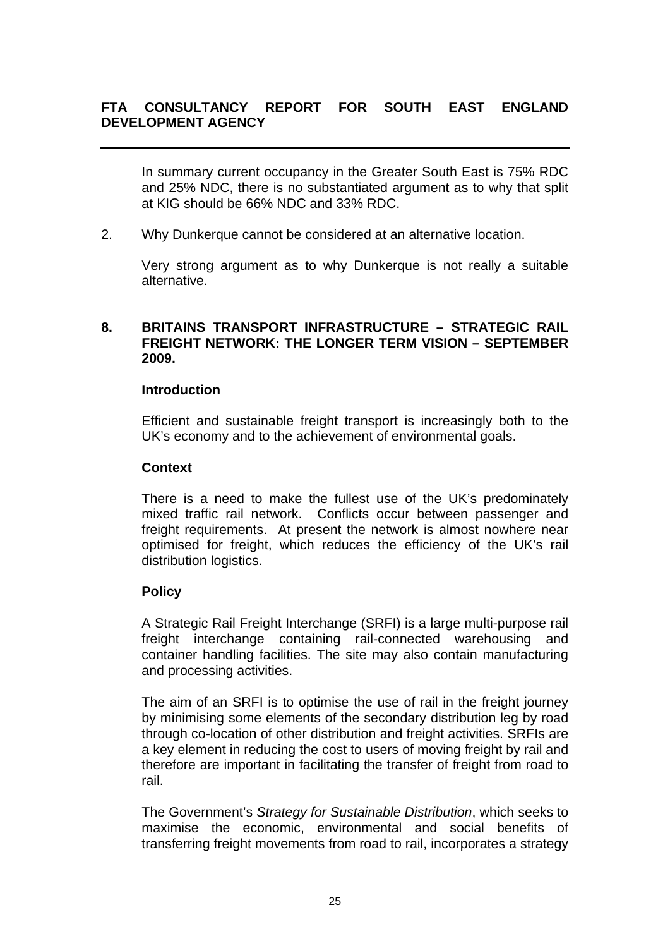In summary current occupancy in the Greater South East is 75% RDC and 25% NDC, there is no substantiated argument as to why that split at KIG should be 66% NDC and 33% RDC.

2. Why Dunkerque cannot be considered at an alternative location.

 Very strong argument as to why Dunkerque is not really a suitable alternative.

## **8. BRITAINS TRANSPORT INFRASTRUCTURE – STRATEGIC RAIL FREIGHT NETWORK: THE LONGER TERM VISION – SEPTEMBER 2009.**

### **Introduction**

Efficient and sustainable freight transport is increasingly both to the UK's economy and to the achievement of environmental goals.

#### **Context**

There is a need to make the fullest use of the UK's predominately mixed traffic rail network. Conflicts occur between passenger and freight requirements. At present the network is almost nowhere near optimised for freight, which reduces the efficiency of the UK's rail distribution logistics.

## **Policy**

A Strategic Rail Freight Interchange (SRFI) is a large multi-purpose rail freight interchange containing rail-connected warehousing and container handling facilities. The site may also contain manufacturing and processing activities.

The aim of an SRFI is to optimise the use of rail in the freight journey by minimising some elements of the secondary distribution leg by road through co-location of other distribution and freight activities. SRFIs are a key element in reducing the cost to users of moving freight by rail and therefore are important in facilitating the transfer of freight from road to rail.

The Government's *Strategy for Sustainable Distribution*, which seeks to maximise the economic, environmental and social benefits of transferring freight movements from road to rail, incorporates a strategy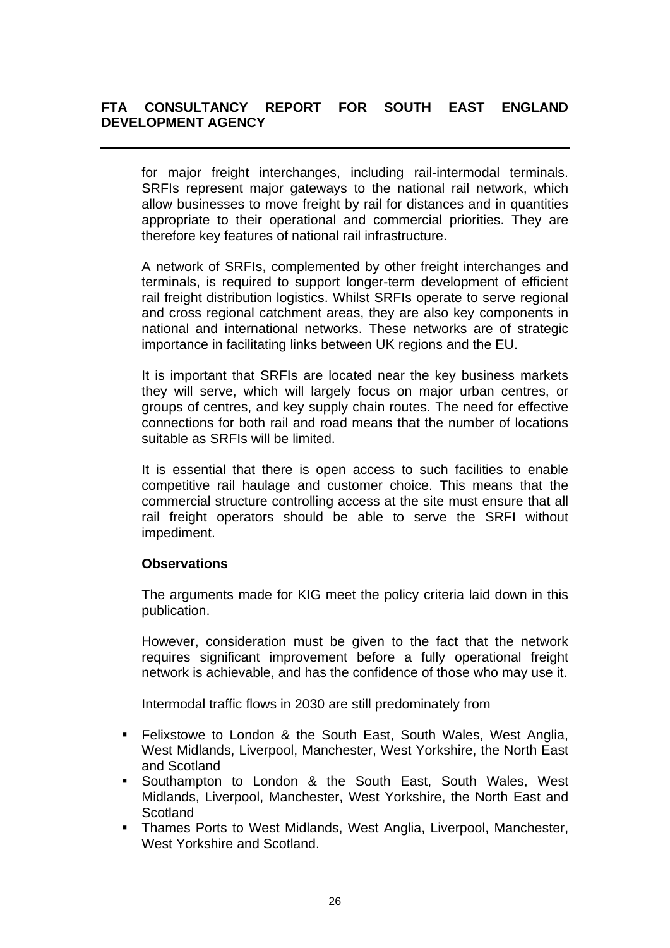for major freight interchanges, including rail-intermodal terminals. SRFIs represent major gateways to the national rail network, which allow businesses to move freight by rail for distances and in quantities appropriate to their operational and commercial priorities. They are therefore key features of national rail infrastructure.

A network of SRFIs, complemented by other freight interchanges and terminals, is required to support longer-term development of efficient rail freight distribution logistics. Whilst SRFIs operate to serve regional and cross regional catchment areas, they are also key components in national and international networks. These networks are of strategic importance in facilitating links between UK regions and the EU.

It is important that SRFIs are located near the key business markets they will serve, which will largely focus on major urban centres, or groups of centres, and key supply chain routes. The need for effective connections for both rail and road means that the number of locations suitable as SRFIs will be limited.

It is essential that there is open access to such facilities to enable competitive rail haulage and customer choice. This means that the commercial structure controlling access at the site must ensure that all rail freight operators should be able to serve the SRFI without impediment.

# **Observations**

The arguments made for KIG meet the policy criteria laid down in this publication.

However, consideration must be given to the fact that the network requires significant improvement before a fully operational freight network is achievable, and has the confidence of those who may use it.

Intermodal traffic flows in 2030 are still predominately from

- **Felixstowe to London & the South East, South Wales, West Anglia,** West Midlands, Liverpool, Manchester, West Yorkshire, the North East and Scotland
- Southampton to London & the South East, South Wales, West Midlands, Liverpool, Manchester, West Yorkshire, the North East and **Scotland**
- Thames Ports to West Midlands, West Anglia, Liverpool, Manchester, West Yorkshire and Scotland.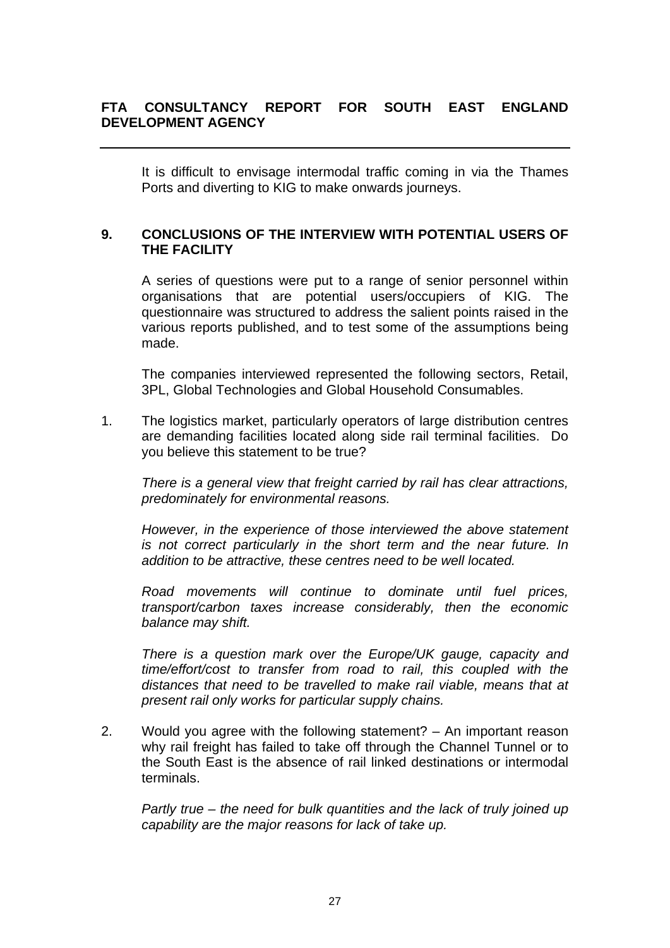It is difficult to envisage intermodal traffic coming in via the Thames Ports and diverting to KIG to make onwards journeys.

## **9. CONCLUSIONS OF THE INTERVIEW WITH POTENTIAL USERS OF THE FACILITY**

A series of questions were put to a range of senior personnel within organisations that are potential users/occupiers of KIG. The questionnaire was structured to address the salient points raised in the various reports published, and to test some of the assumptions being made.

The companies interviewed represented the following sectors, Retail, 3PL, Global Technologies and Global Household Consumables.

1. The logistics market, particularly operators of large distribution centres are demanding facilities located along side rail terminal facilities. Do you believe this statement to be true?

*There is a general view that freight carried by rail has clear attractions, predominately for environmental reasons.* 

*However, in the experience of those interviewed the above statement is not correct particularly in the short term and the near future. In addition to be attractive, these centres need to be well located.* 

*Road movements will continue to dominate until fuel prices, transport/carbon taxes increase considerably, then the economic balance may shift.* 

*There is a question mark over the Europe/UK gauge, capacity and time/effort/cost to transfer from road to rail, this coupled with the distances that need to be travelled to make rail viable, means that at present rail only works for particular supply chains.* 

2. Would you agree with the following statement? – An important reason why rail freight has failed to take off through the Channel Tunnel or to the South East is the absence of rail linked destinations or intermodal terminals.

*Partly true – the need for bulk quantities and the lack of truly joined up capability are the major reasons for lack of take up.*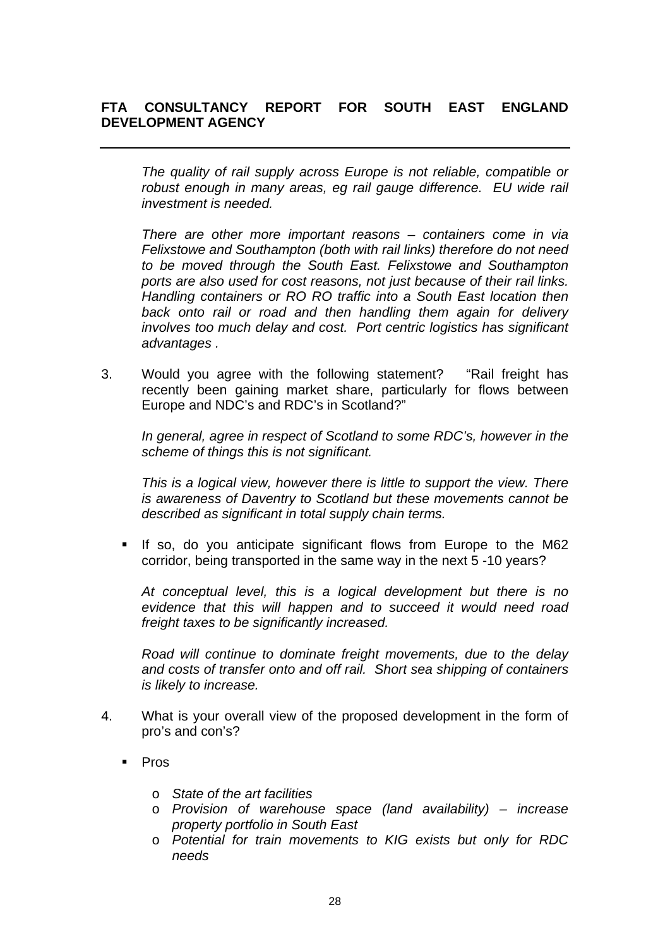*The quality of rail supply across Europe is not reliable, compatible or robust enough in many areas, eg rail gauge difference. EU wide rail investment is needed.* 

*There are other more important reasons – containers come in via Felixstowe and Southampton (both with rail links) therefore do not need to be moved through the South East. Felixstowe and Southampton ports are also used for cost reasons, not just because of their rail links. Handling containers or RO RO traffic into a South East location then back onto rail or road and then handling them again for delivery involves too much delay and cost. Port centric logistics has significant advantages .* 

3. Would you agree with the following statement? "Rail freight has recently been gaining market share, particularly for flows between Europe and NDC's and RDC's in Scotland?"

*In general, agree in respect of Scotland to some RDC's, however in the scheme of things this is not significant.* 

*This is a logical view, however there is little to support the view. There is awareness of Daventry to Scotland but these movements cannot be described as significant in total supply chain terms.* 

 If so, do you anticipate significant flows from Europe to the M62 corridor, being transported in the same way in the next 5 -10 years?

*At conceptual level, this is a logical development but there is no evidence that this will happen and to succeed it would need road freight taxes to be significantly increased.* 

*Road will continue to dominate freight movements, due to the delay and costs of transfer onto and off rail. Short sea shipping of containers is likely to increase.* 

- 4. What is your overall view of the proposed development in the form of pro's and con's?
	- Pros
		- o *State of the art facilities*
		- o *Provision of warehouse space (land availability) increase property portfolio in South East*
		- o *Potential for train movements to KIG exists but only for RDC needs*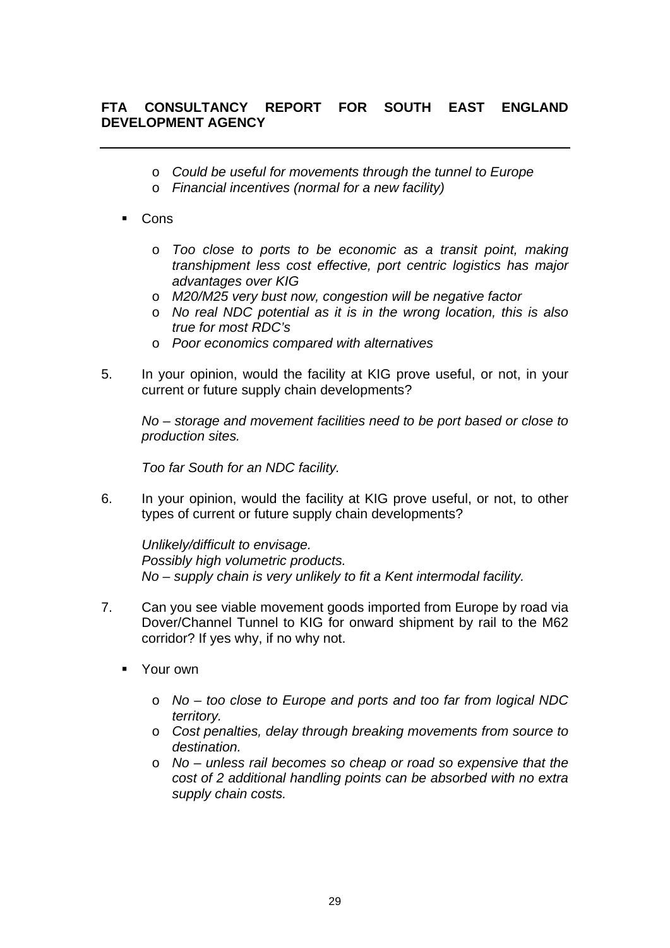- o *Could be useful for movements through the tunnel to Europe*
- o *Financial incentives (normal for a new facility)*
- Cons
	- o *Too close to ports to be economic as a transit point, making transhipment less cost effective, port centric logistics has major advantages over KIG*
	- o *M20/M25 very bust now, congestion will be negative factor*
	- o *No real NDC potential as it is in the wrong location, this is also true for most RDC's*
	- o *Poor economics compared with alternatives*
- 5. In your opinion, would the facility at KIG prove useful, or not, in your current or future supply chain developments?

*No – storage and movement facilities need to be port based or close to production sites.* 

*Too far South for an NDC facility.* 

6. In your opinion, would the facility at KIG prove useful, or not, to other types of current or future supply chain developments?

*Unlikely/difficult to envisage. Possibly high volumetric products. No – supply chain is very unlikely to fit a Kent intermodal facility.* 

- 7. Can you see viable movement goods imported from Europe by road via Dover/Channel Tunnel to KIG for onward shipment by rail to the M62 corridor? If yes why, if no why not.
	- **Nourown** 
		- o *No too close to Europe and ports and too far from logical NDC territory.*
		- o *Cost penalties, delay through breaking movements from source to destination.*
		- o *No unless rail becomes so cheap or road so expensive that the cost of 2 additional handling points can be absorbed with no extra supply chain costs.*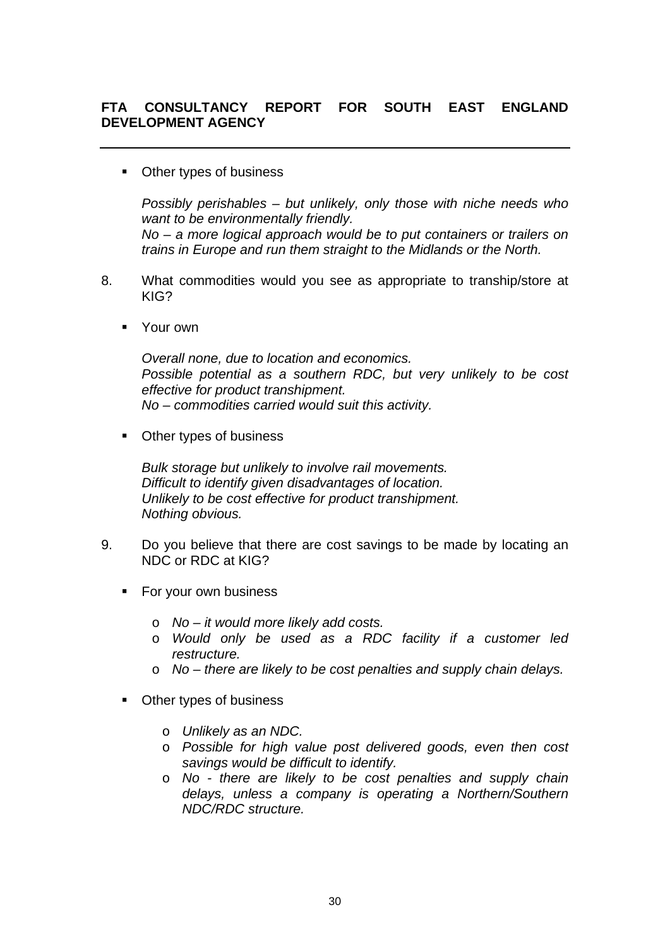■ Other types of business

*Possibly perishables – but unlikely, only those with niche needs who want to be environmentally friendly.* 

*No – a more logical approach would be to put containers or trailers on trains in Europe and run them straight to the Midlands or the North.* 

- 8. What commodities would you see as appropriate to tranship/store at KIG?
	- **Notify No. 19**

*Overall none, due to location and economics. Possible potential as a southern RDC, but very unlikely to be cost effective for product transhipment. No – commodities carried would suit this activity.* 

Other types of business

*Bulk storage but unlikely to involve rail movements. Difficult to identify given disadvantages of location. Unlikely to be cost effective for product transhipment. Nothing obvious.* 

- 9. Do you believe that there are cost savings to be made by locating an NDC or RDC at KIG?
	- For your own business
		- o *No it would more likely add costs.*
		- o *Would only be used as a RDC facility if a customer led restructure.*
		- o *No there are likely to be cost penalties and supply chain delays.*
	- Other types of business
		- o *Unlikely as an NDC.*
		- o *Possible for high value post delivered goods, even then cost savings would be difficult to identify.*
		- o *No there are likely to be cost penalties and supply chain delays, unless a company is operating a Northern/Southern NDC/RDC structure.*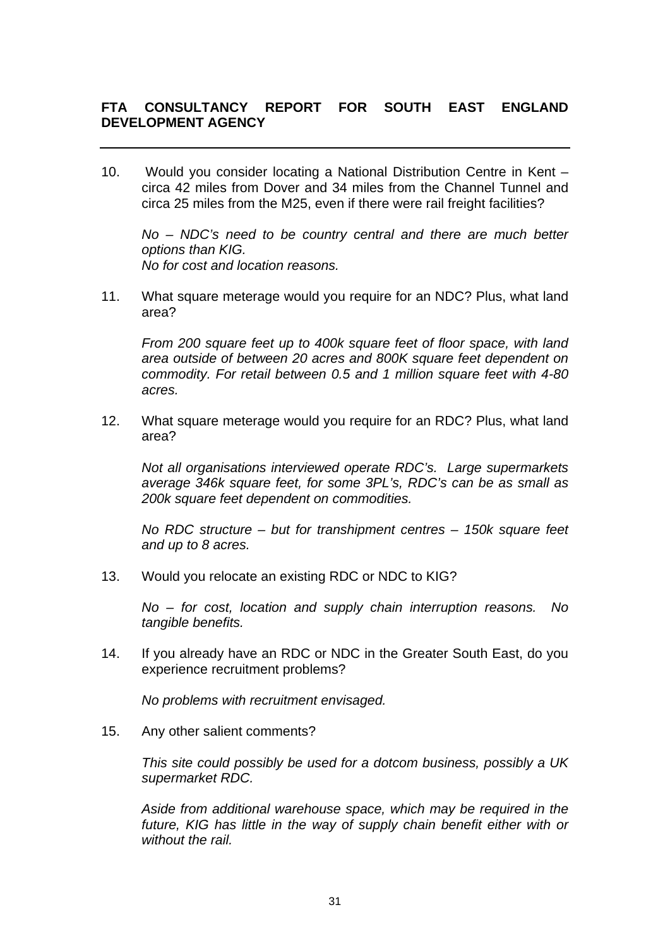10. Would you consider locating a National Distribution Centre in Kent – circa 42 miles from Dover and 34 miles from the Channel Tunnel and circa 25 miles from the M25, even if there were rail freight facilities?

*No – NDC's need to be country central and there are much better options than KIG. No for cost and location reasons.* 

11. What square meterage would you require for an NDC? Plus, what land area?

*From 200 square feet up to 400k square feet of floor space, with land area outside of between 20 acres and 800K square feet dependent on commodity. For retail between 0.5 and 1 million square feet with 4-80 acres.* 

12. What square meterage would you require for an RDC? Plus, what land area?

*Not all organisations interviewed operate RDC's. Large supermarkets average 346k square feet, for some 3PL's, RDC's can be as small as 200k square feet dependent on commodities.* 

*No RDC structure – but for transhipment centres – 150k square feet and up to 8 acres.* 

13. Would you relocate an existing RDC or NDC to KIG?

*No – for cost, location and supply chain interruption reasons. No tangible benefits.* 

14. If you already have an RDC or NDC in the Greater South East, do you experience recruitment problems?

 *No problems with recruitment envisaged.* 

15. Any other salient comments?

*This site could possibly be used for a dotcom business, possibly a UK supermarket RDC.* 

*Aside from additional warehouse space, which may be required in the future, KIG has little in the way of supply chain benefit either with or without the rail.*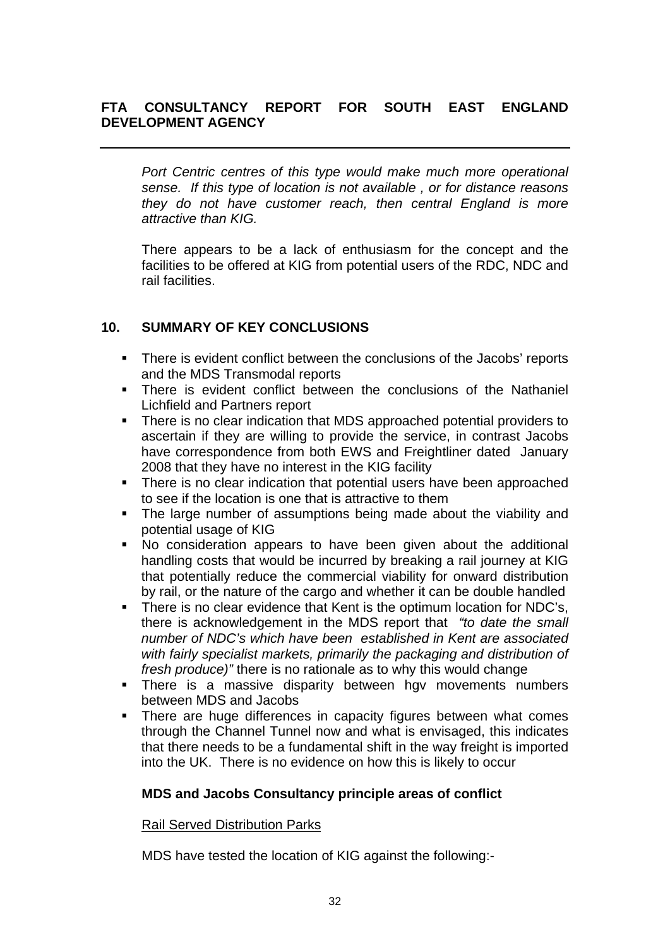*Port Centric centres of this type would make much more operational sense. If this type of location is not available , or for distance reasons they do not have customer reach, then central England is more attractive than KIG.* 

There appears to be a lack of enthusiasm for the concept and the facilities to be offered at KIG from potential users of the RDC, NDC and rail facilities.

# **10. SUMMARY OF KEY CONCLUSIONS**

- There is evident conflict between the conclusions of the Jacobs' reports and the MDS Transmodal reports
- **There is evident conflict between the conclusions of the Nathaniel** Lichfield and Partners report
- **There is no clear indication that MDS approached potential providers to** ascertain if they are willing to provide the service, in contrast Jacobs have correspondence from both EWS and Freightliner dated January 2008 that they have no interest in the KIG facility
- There is no clear indication that potential users have been approached to see if the location is one that is attractive to them
- The large number of assumptions being made about the viability and potential usage of KIG
- No consideration appears to have been given about the additional handling costs that would be incurred by breaking a rail journey at KIG that potentially reduce the commercial viability for onward distribution by rail, or the nature of the cargo and whether it can be double handled
- There is no clear evidence that Kent is the optimum location for NDC's, there is acknowledgement in the MDS report that *"to date the small number of NDC's which have been established in Kent are associated with fairly specialist markets, primarily the packaging and distribution of fresh produce)"* there is no rationale as to why this would change
- **There is a massive disparity between hgy movements numbers** between MDS and Jacobs
- **There are huge differences in capacity figures between what comes** through the Channel Tunnel now and what is envisaged, this indicates that there needs to be a fundamental shift in the way freight is imported into the UK. There is no evidence on how this is likely to occur

# **MDS and Jacobs Consultancy principle areas of conflict**

## Rail Served Distribution Parks

MDS have tested the location of KIG against the following:-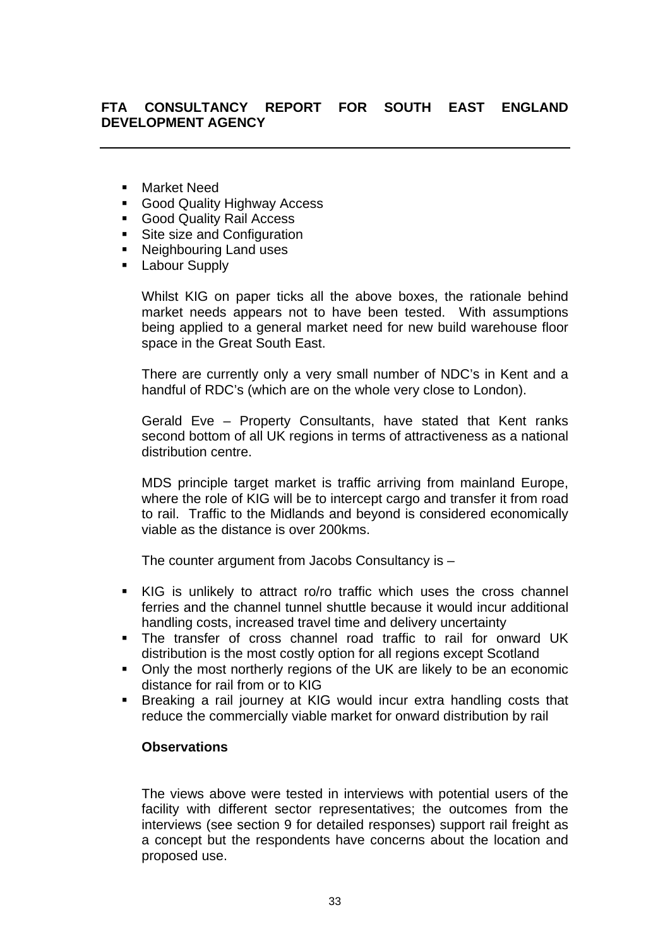- Market Need
- **Good Quality Highway Access**
- Good Quality Rail Access
- Site size and Configuration
- Neighbouring Land uses
- Labour Supply

Whilst KIG on paper ticks all the above boxes, the rationale behind market needs appears not to have been tested. With assumptions being applied to a general market need for new build warehouse floor space in the Great South East.

There are currently only a very small number of NDC's in Kent and a handful of RDC's (which are on the whole very close to London).

Gerald Eve – Property Consultants, have stated that Kent ranks second bottom of all UK regions in terms of attractiveness as a national distribution centre.

MDS principle target market is traffic arriving from mainland Europe, where the role of KIG will be to intercept cargo and transfer it from road to rail. Traffic to the Midlands and beyond is considered economically viable as the distance is over 200kms.

The counter argument from Jacobs Consultancy is –

- KIG is unlikely to attract ro/ro traffic which uses the cross channel ferries and the channel tunnel shuttle because it would incur additional handling costs, increased travel time and delivery uncertainty
- The transfer of cross channel road traffic to rail for onward UK distribution is the most costly option for all regions except Scotland
- Only the most northerly regions of the UK are likely to be an economic distance for rail from or to KIG
- Breaking a rail journey at KIG would incur extra handling costs that reduce the commercially viable market for onward distribution by rail

#### **Observations**

The views above were tested in interviews with potential users of the facility with different sector representatives; the outcomes from the interviews (see section 9 for detailed responses) support rail freight as a concept but the respondents have concerns about the location and proposed use.